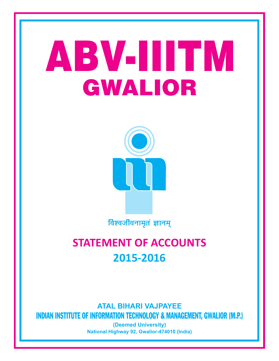### ABV-IIITM GWALIOR



विश्वजीवनामृतं ज्ञानम्

### **STATEMENT OF ACCOUNTS 2015-2016**

**ATAL BIHARI VAJPAYEE** INDIAN INSTITUTE OF INFORMATION TECHNOLOGY & MANAGEMENT, GWALIOR (M.P.)

> **(Deemed University) National Highway 92, Gwalior-474010 (India)**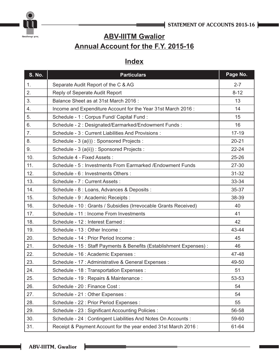



### **ABV-IIITM Gwalior Annual Account for the F.Y. 2015-16**

### **Index**

| <b>S. No.</b> | <b>Particulars</b>                                                   | Page No.  |
|---------------|----------------------------------------------------------------------|-----------|
| 1.            | Separate Audit Report of the C & AG                                  | $2 - 7$   |
| 2.            | Reply of Seperate Audit Report                                       | $8 - 12$  |
| 3.            | Balance Sheet as at 31st March 2016:                                 | 13        |
| 4.            | Income and Expenditure Account for the Year 31st March 2016:         | 14        |
| 5.            | Schedule - 1 : Corpus Fund/ Capital Fund :                           | 15        |
| 6.            | Schedule - 2 : Designated/Earmarked/Endowment Funds :                | 16        |
| 7.            | Schedule - 3 : Current Liabilities And Provisions :                  | $17 - 19$ |
| 8.            | Schedule - 3 (a(i)) : Sponsored Projects :                           | $20 - 21$ |
| 9.            | Schedule - 3 (a(ii)) : Sponsored Projects :                          | $22 - 24$ |
| 10.           | Schedule 4 - Fixed Assets :                                          | $25 - 26$ |
| 11.           | Schedule - 5: Investments From Earmarked / Endowment Funds           | 27-30     |
| 12.           | Schedule - 6 : Investments Others :                                  | $31 - 32$ |
| 13.           | Schedule - 7 : Current Assets :                                      | 33-34     |
| 14.           | Schedule - 8 : Loans, Advances & Deposits :                          | 35-37     |
| 15.           | Schedule - 9 : Academic Receipts :                                   | 38-39     |
| 16.           | Schedule - 10 : Grants / Subsidies (Irrevocable Grants Received)     | 40        |
| 17.           | Schedule - 11 : Income From Investments                              | 41        |
| 18.           | Schedule - 12 : Interest Earned :                                    | 42        |
| 19.           | Schedule - 13 : Other Income :                                       | 43-44     |
| 20.           | Schedule - 14 : Prior Period Income :                                | 45        |
| 21.           | Schedule - 15 : Staff Payments & Benefits (Establishment Expenses) : | 46        |
| 22.           | Schedule - 16 : Academic Expenses :                                  | 47-48     |
| 23.           | Schedule - 17 : Administrative & General Expenses :                  | 49-50     |
| 24.           | Schedule - 18 : Transportation Expenses :                            | 51        |
| 25.           | Schedule - 19 : Repairs & Maintenance :                              | 53-53     |
| 26.           | Schedule - 20 : Finance Cost :                                       | 54        |
| 27.           | Schedule - 21 : Other Expenses :                                     | 54        |
| 28.           | Schedule - 22 : Prior Period Expenses :                              | 55        |
| 29.           | Schedule - 23 : Significant Accounting Policies :                    | 56-58     |
| 30.           | Schedule - 24 : Contingent Liabilities And Notes On Accounts :       | 59-60     |
| 31.           | Receipt & Payment Account for the year ended 31st March 2016 :       | 61-64     |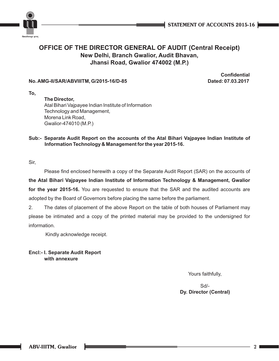

### **OFFICE OF THE DIRECTOR GENERAL OF AUDIT (Central Receipt) New Delhi, Branch Gwalior, Audit Bhavan, Jhansi Road, Gwalior 474002 (M.P.)**

### **No. AMG-II/SAR/ABVIIITM, G/2015-16/D-85 Dated: 07.03.2017**

**Confidential**

**To,**

### **The Director,** Atal Bihari Vajpayee Indian Institute of Information Technology and Management,

Morena Link Road, Gwalior-474010 (M.P.)

### **Sub:- Separate Audit Report on the accounts of the Atal Bihari Vajpayee Indian Institute of Information Technology & Management for the year 2015-16.**

Sir,

Please find enclosed herewith a copy of the Separate Audit Report (SAR) on the accounts of

**the Atal Bihari Vajpayee Indian Institute of Information Technology & Management, Gwalior for the year 2015-16.** You are requested to ensure that the SAR and the audited accounts are adopted by the Board of Governors before placing the same before the parliament.

2. The dates of placement of the above Report on the table of both houses of Parliament may please be intimated and a copy of the printed material may be provided to the undersigned for information.

Kindly acknowledge receipt.

### **Encl:- I. Separate Audit Report with annexure**

Yours faithfully,

Sd/- **Dy. Director (Central)**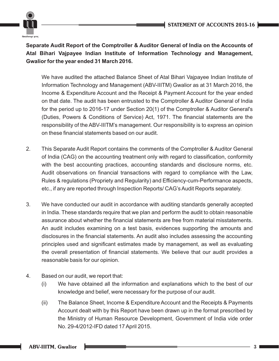

**Separate Audit Report of the Comptroller & Auditor General of India on the Accounts of Atal Bihari Vajpayee Indian Institute of Information Technology and Management, Gwalior for the year ended 31 March 2016.**

We have audited the attached Balance Sheet of Atal Bihari Vajpayee Indian Institute of Information Technology and Management (ABV-IIITM) Gwalior as at 31 March 2016, the Income & Expenditure Account and the Receipt & Payment Account for the year ended on that date. The audit has been entrusted to the Comptroller & Auditor General of India for the period up to 2016-17 under Section 20(1) of the Comptroller & Auditor General's (Duties, Powers & Conditions of Service) Act, 1971. The financial statements are the responsibility of the ABV-IIITM's management. Our responsibility is to express an opinion on these financial statements based on our audit.

- 2. This Separate Audit Report contains the comments of the Comptroller & Auditor General of India (CAG) on the accounting treatment only with regard to classification, conformity with the best accounting practices, accounting standards and disclosure norms, etc. Audit observations on financial transactions with regard to compliance with the Law, Rules & regulations (Propriety and Regularity) and Efficiency-cum-Performance aspects, etc., if any are reported through Inspection Reports/ CAG's Audit Reports separately.
- 3. We have conducted our audit in accordance with auditing standards generally accepted in India. These standards require that we plan and perform the audit to obtain reasonable assurance about whether the financial statements are free from material misstatements. An audit includes examining on a test basis, evidences supporting the amounts and disclosures in the financial statements. An audit also includes assessing the accounting principles used and significant estimates made by management, as well as evaluating the overall presentation of financial statements. We believe that our audit provides a reasonable basis for our opinion.
- 4. Based on our audit, we report that:
	- (i) We have obtained all the information and explanations which to the best of our knowledge and belief, were necessary for the purpose of our audit.
	- (ii) The Balance Sheet, Income & Expenditure Account and the Receipts & Payments Account dealt with by this Report have been drawn up in the format prescribed by the Ministry of Human Resource Development, Government of India vide order No. 29-4/2012-IFD dated 17 April 2015.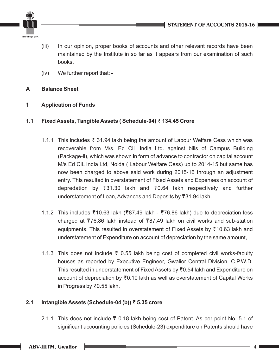

- (iii) In our opinion, proper books of accounts and other relevant records have been maintained by the Institute in so far as it appears from our examination of such books.
- (iv) We further report that: -

### **A Balance Sheet**

**1 Application of Funds**

### **1.1 Fixed Assets, Tangible Assets ( Schedule-04)** T **134.45 Crore**

- 1.1.1 This includes T 31.94 lakh being the amount of Labour Welfare Cess which was recoverable from M/s. Ed CiL India Ltd. against bills of Campus Building (Package-ll), which was shown in form of advance to contractor on capital account M/s Ed CiL India Ltd, Noida ( Labour Welfare Cess) up to 2014-15 but same has now been charged to above said work during 2015-16 through an adjustment entry. This resulted in overstatement of Fixed Assets and Expenses on account of depredation by T31.30 lakh and T0.64 lakh respectively and further understatement of Loan, Advances and Deposits by T31.94 lakh.
- 1.1.2 This includes ₹10.63 lakh (₹87.49 lakh ₹76.86 lakh) due to depreciation less charged at  $\overline{776.86}$  lakh instead of  $\overline{787.49}$  lakh on civil works and sub-station equipments. This resulted in overstatement of Fixed Assets by ₹10.63 lakh and understatement of Expenditure on account of depreciation by the same amount,
- 1.1.3 This does not include  $\bar{\tau}$  0.55 lakh being cost of completed civil works-faculty houses as reported by Executive Engineer, Gwalior Central Division, C.P.W.D. This resulted in understatement of Fixed Assets by ₹0.54 lakh and Expenditure on account of depreciation by T0.10 lakh as well as overstatement of Capital Works in Progress by ₹0.55 lakh.

### **2.1 Intangible Assets (Schedule-04 (b))** T **5.35 crore**

2.1.1 This does not include  $\bar{\tau}$  0.18 lakh being cost of Patent. As per point No. 5.1 of significant accounting policies (Schedule-23) expenditure on Patents should have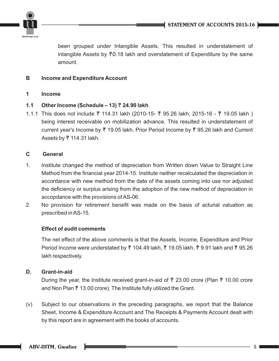

been grouped under Intangible Assets. This resulted in understatement of intangible Assets by  $\overline{7}0.18$  lakh and overstatement of Expenditure by the same amount.

### **B Income and Expenditure Account**

**1 Income**

### **1.1 Other Income (Schedule – 13)** T **24.90 lakh**

1.1.1 This does not include T 114.31 lakh (2010-15- T 95.26 lakh; 2015-16 - T 19.05 lakh ) being interest receivable on mobilization advance. This resulted in understatement of current year's Income by ₹ 19.05 lakh. Prior Period Income by ₹ 95.26 lakh and Current Assets by  $\overline{z}$  114.31 lakh.

### **C General**

- 1. Institute changed the method of depreciation from Written down Value to Straight Line Method from the financial year 2014-15. Institute neither recalculated the depreciation in accordance with new method from the date of the assets coming into use nor adjusted the deficiency or surplus arising from the adoption of the new method of depreciation in accopdance with the provisions of AS-06.
- 2. No provision for retirement benefit was made on the basis of acturial valuation as prescribed in AS-15.

### **Effect of audit comments**

The net effect of the above comments is that the Assets, Income, Expenditure and Prior Period Income were understated by ₹ 104.49 lakh, ₹ 19.05 lakh, ₹ 9.91 lakh and ₹ 95.26 lakh respectively.

### **D. Grant-in-aid**

During the year, the Institute received grant-in-aid of ₹ 23.00 crore (Plan ₹ 10.00 crore and Non Plan  $\bar{\tau}$  13.00 crore). The Institute fully utilized the Grant.

(v) Subject to our observations in the preceding paragraphs, we report that the Balance Sheet, Income & Expenditure Account and The Receipts & Payments Account dealt with by this report are in agreement with the books of accounts.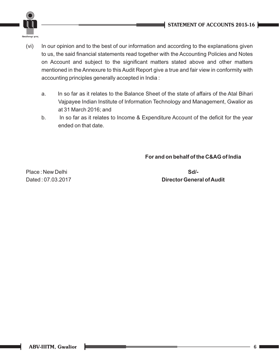

- (vi) to us, the said financial statements read together with the Accounting Policies and Notes on Account and subject to the significant matters stated above and other matters mentioned in the Annexure to this Audit Report give a true and fair view in conformity with accounting principles generally accepted in India : In our opinion and to the best of our information and according to the explanations given
	- a. In so far as it relates to the Balance Sheet of the state of affairs of the Atal Bihari Vajpayee Indian Institute of Information Technology and Management, Gwalior as at 31 March 2016; and
	- b. In so far as it relates to Income & Expenditure Account of the deficit for the year ended on that date.

**For and on behalf of the C&AG of India**

Place : New Delhi **Sd/-**

Dated : 07.03.2017 **Director General of Audit**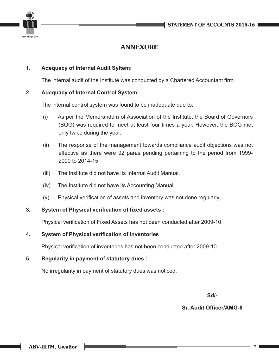

### **ANNEXURE**

### **1. Adequacy of Internal Audit Syltem:**

The internal audit of the Institute was conducted by a Chartered Accountant firm.

### **2. Adequacy of Internal Control System:**

The internal control system was found to be inadequate due to;

- (i) As per the Memorandum of Association of the Institute, the Board of Governors (BOG) was required to meet at least four times a year. However, the BOG met only twice during the year.
- (ii) The response of the management towards compliance audit objections was not effective as there were 92 paras pending pertaining to the period from 1999- 2000 to 2014-15,
- (iii) The Institute did not have its Internal Audit Manual.
- (iv) The Institute did not have its Accounting Manual.
- (v) Physical verification of assets and inventory was not done regularly.

### **3. System of Physical verification of fixed assets :**

Physical verification of Fixed Assets has not been conducted after 2009-10.

### **4. System of Physical verification of inventories**

Physical verification of inventories has not been conducted after 2009-10.

### **5. Regularity in payment of statutory dues :**

No irregularity in payment of statutory dues was noticed.

**Sd/-**

### **Sr. Audit Officer/AMG-II**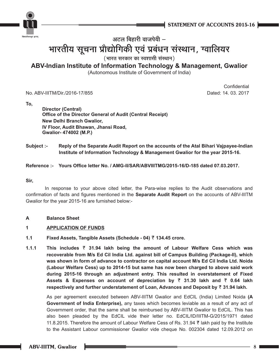



### भारतीय सूचना प्रौद्योगिकी एवं प्र **• ≈ ‹ " Ê ⁄ Ë fl Ê ¡ ¬ Ë -**<sup>| बिहारी वा<br>**की एवं**<br>कार का स्वः</sup> **i**हारी वाजपेयी –<br>**। एवं प्रबंधन संस्थान, ग्वालियर**<br>र का स्वशासी संस्थान)

 $($  भारत सरकार का स्वशासी संस्थान)

### **ABV-Indian Institute of Information Technology & Management, Gwalior**

(Autonomous Institute of Government of India)

No. ABV-IIITM/Dir./2016-17/855 Dated: 14. 03. 2017

**Confidential** 

**To,**

**Director (Central) Office of the Director General of Audit (Central Receipt) New Delhi Branch Gwalior, IV Floor, Audit Bhawan, Jhansi Road, Gwalior- 474002 (M.P.)**

**Subject :- Reply of the Separate Audit Report on the accounts of the Atal Bihari Vajpayee-Indian Institute of Information Technology & Management Gwalior for the year 2015-16.**

**Reference :- Yours Office letter No. / AMG-II/SAR/ABVIIITMG/2015-16/D-185 dated 07.03.2017.** 

### **Sir,**

In response to your above cited letter, the Para-wise replies to the Audit observations and confirmation of facts and figures mentioned in the **Separate Audit Report** on the accounts of ABV-IIITM Gwalior for the year 2015-16 are furnished below:-

### **A Balance Sheet**

### **1 APPLICATION OF FUNDS**

- **1.1 Fixed Assets, Tangible Assets (Schedule 04)** T **134.45 crore.**
- **1.1.1 This includes** T **31.94 lakh being the amount of Labour Welfare Cess which was recoverable from M/s Ed Cil India Ltd. against bill of Campus Building (Package-II), which was shown in form of advance to contractor on capital account M/s Ed Cil India Ltd. Noida (Labour Welfare Cess) up to 2014-15 but same has now been charged to above said work during 2015-16 through an adjustment entry. This resulted in overstatement of Fixed Assets & Expenses on account of depreciation by** T **31.30 lakh and** T **0.64 lakh respectively and further understatement of Loan, Advances and Deposit by ₹ 31.94 lakh.**

As per agreement executed between ABV-IIITM Gwalior and EdCIL (India) Limited Noida **(A Government of India Enterprise),** any taxes which becomes leviable as a result of any act of Government order, that the same shall be reimbursed by ABV-IIITM Gwalior to EdCIL. This has also been pleaded by the EdCIL vide their letter no. EdCIL/ID/IIITM-G/2015/1971 dated 11.8.2015. Therefore the amount of Labour Welfare Cess of Rs. 31.94 T lakh paid by the Institute to the Assistant Labour commissioner Gwalior vide cheque No. 002304 dated 12.09.2012 on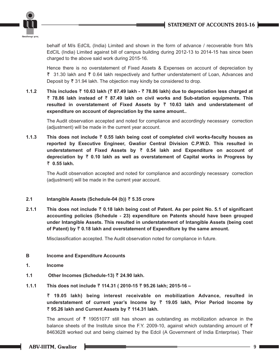

behalf of M/s EdCIL (India) Limited and shown in the form of advance / recoverable from M/s EdCIL (India) Limited against bill of campus building during 2012-13 to 2014-15 has since been charged to the above said work during 2015-16.

Hence there is no overstatement of Fixed Assets & Expenses on account of depreciation by ₹ 31.30 lakh and ₹ 0.64 lakh respectively and further understatement of Loan, Advances and Deposit by  $\bar{\tau}$  31.94 lakh. The objection may kindly be considered to drop.

**1.1.2 This includes** T **10.63 lakh (**T **87.49 lakh -** T **78.86 lakh) due to depreciation less charged at**  T **78.86 lakh instead of** T **87.49 lakh on civil works and Sub-station equipments. This resulted in overstatement of Fixed Assets by** T **10.63 lakh and understatement of expenditure on account of depreciation by the same amount..** 

The Audit observation accepted and noted for compliance and accordingly necessary correction (adjustment) will be made in the current year account.

**1.1.3 This does not include** T **0.55 lakh being cost of completed civil works-faculty houses as reported by Executive Engineer, Gwalior Central Division C.P.W.D. This resulted in understatement of Fixed Assets by** T **0.54 lakh and Expenditure on account of depreciation by** T **0.10 lakh as well as overstatement of Capital works in Progress by**  T **0.55 lakh.**

The Audit observation accepted and noted for compliance and accordingly necessary correction (adjustment) will be made in the current year account.

### **2.1 Intangible Assets (Schedule-04 (b))** T **5.35 crore**

**2.1.1 This does not include** T **0.18 lakh being cost of Patent. As per point No. 5.1 of significant accounting policies (Schedule - 23) expenditure on Patents should have been grouped under Intangible Assets. This resulted in understatement of Intangible Assets (being cost**  of Patent) by  $\bar{\tau}$  0.18 lakh and overstatement of Expenditure by the same amount.

Misclassification accepted. The Audit observation noted for compliance in future.

- **B Income and Expenditure Accounts**
- **1. Income**
- **1.1 Other Incomes (Schedule-13)** T **24.90 lakh.**
- **1.1.1 This does not include** T **114.31 ( 2010-15** T **95.26 lakh; 2015-16**

T **19.05 lakh) being interest receivable on mobilization Advance, resulted in understatement of current year's Income by** T **19.05 lakh, Prior Period Income by**  T **95.26 lakh and Current Assets by** T **114.31 lakh.** 

The amount of  $\bar{\tau}$  19051077 still has shown as outstanding as mobilization advance in the balance sheets of the Institute since the F.Y. 2009-10, against which outstanding amount of  $\bar{\tau}$ 8463628 worked out and being claimed by the Edcil (A Government of India Enterprise). Their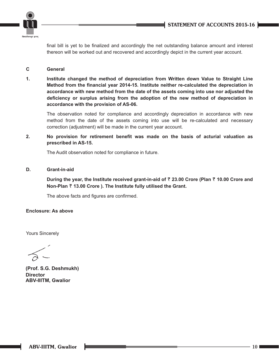

final bill is yet to be finalized and accordingly the net outstanding balance amount and interest thereon will be worked out and recovered and accordingly depict in the current year account.

### **C General**

**1. Institute changed the method of depreciation from Written down Value to Straight Line Method from the financial year 2014-15. Institute neither re-calculated the depreciation in accordance with new method from the date of the assets coming into use nor adjusted the deficiency or surplus arising from the adoption of the new method of depreciation in accordance with the provision of AS-06.**

The observation noted for compliance and accordingly depreciation in accordance with new method from the date of the assets coming into use will be re-calculated and necessary correction (adjustment) will be made in the current year account.

**2. No provision for retirement benefit was made on the basis of acturial valuation as prescribed in AS-15.**

The Audit observation noted for compliance in future.

### **D. Grant-in-aid**

**During the year, the Institute received grant-in-aid of** T **23.00 Crore (Plan** T **10.00 Crore and Non-Plan** T **13.00 Crore ). The Institute fully utilised the Grant.** 

The above facts and figures are confirmed.

### **Enclosure: As above**

Yours Sincerely

**(Prof. S.G. Deshmukh) Director ABV-IIITM, Gwalior**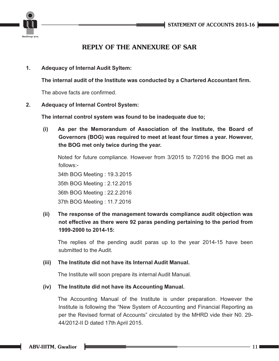

### **REPLY OF THE ANNEXURE OF SAR**

**1. Adequacy of Internal Audit Syltem:**

**The internal audit of the Institute was conducted by a Chartered Accountant firm.**

The above facts are confirmed.

### **2. Adequacy of Internal Control System:**

**The internal control system was found to be inadequate due to;**

**(i) As per the Memorandum of Association of the Institute, the Board of Governors (BOG) was required to meet at least four times a year. However, the BOG met only twice during the year.**

Noted for future compliance. However from 3/2015 to 7/2016 the BOG met as follows:-

34th BOG Meeting : 19.3.2015 35th BOG Meeting : 2.12.2015 36th BOG Meeting : 22.2.2016 37th BOG Meeting : 11.7.2016

**(ii) The response of the management towards compliance audit objection was not effective as there were 92 paras pending pertaining to the period from 1999-2000 to 2014-15:**

The replies of the pending audit paras up to the year 2014-15 have been submitted to the Audit.

### **(iii) The Institute did not have its Internal Audit Manual.**

The Institute will soon prepare its internal Audit Manual.

### **(iv) The Institute did not have its Accounting Manual.**

The Accounting Manual of the Institute is under preparation. However the Institute is following the "New System of Accounting and Financial Reporting as per the Revised format of Accounts" circulated by the MHRD vide their N0. 29- 44/2012-II D dated 17th April 2015.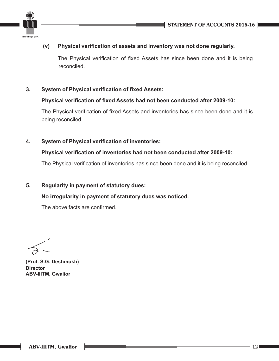



### **(v) Physical verification of assets and inventory was not done regularly.**

The Physical verification of fixed Assets has since been done and it is being reconciled.

### **3. System of Physical verification of fixed Assets:**

### **Physical verification of fixed Assets had not been conducted after 2009-10:**

The Physical verification of fixed Assets and inventories has since been done and it is being reconciled.

**4. System of Physical verification of inventories:**

### **Physical verification of inventories had not been conducted after 2009-10:**

The Physical verification of inventories has since been done and it is being reconciled.

### **5. Regularity in payment of statutory dues:**

### **No irregularity in payment of statutory dues was noticed.**

The above facts are confirmed.

**(Prof. S.G. Deshmukh) Director ABV-IIITM, Gwalior**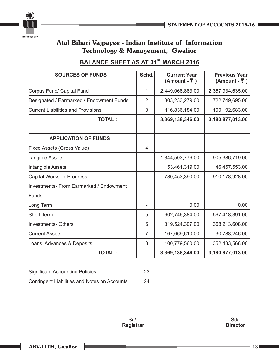



### **BALANCE SHEET AS AT 31<sup>st</sup> MARCH 2016**

| <b>SOURCES OF FUNDS</b>                   | Schd.          | <b>Current Year</b><br>(Amount - ₹) | <b>Previous Year</b><br>(Amount - ₹) |
|-------------------------------------------|----------------|-------------------------------------|--------------------------------------|
| Corpus Fund/ Capital Fund                 | 1              | 2,449,068,883.00                    | 2,357,934,635.00                     |
| Designated / Earmarked / Endowment Funds  | $\overline{2}$ | 803,233,279.00                      | 722,749,695.00                       |
| <b>Current Liabilities and Provisions</b> | 3              | 116,836,184.00                      | 100,192,683.00                       |
| <b>TOTAL:</b>                             |                | 3,369,138,346.00                    | 3,180,877,013.00                     |
|                                           |                |                                     |                                      |
| <b>APPLICATION OF FUNDS</b>               |                |                                     |                                      |
| Fixed Assets (Gross Value)                | 4              |                                     |                                      |
| <b>Tangible Assets</b>                    |                | 1,344,503,776.00                    | 905,386,719.00                       |
| Intangible Assets                         |                | 53,461,319.00                       | 46,457,553.00                        |
| <b>Capital Works-In-Progress</b>          |                | 780,453,390.00                      | 910,178,928.00                       |
| Investments- From Earmarked / Endowment   |                |                                     |                                      |
| <b>Funds</b>                              |                |                                     |                                      |
| Long Term                                 |                | 0.00                                | 0.00                                 |
| <b>Short Term</b>                         | 5              | 602,746,384.00                      | 567,418,391.00                       |
| <b>Investments-Others</b>                 | 6              | 319,524,307.00                      | 368,213,608.00                       |
| <b>Current Assets</b>                     | 7              | 167,669,610.00                      | 30,788,246.00                        |
| Loans, Advances & Deposits                | 8              | 100,779,560.00                      | 352,433,568.00                       |
| <b>TOTAL:</b>                             |                | 3,369,138,346.00                    | 3,180,877,013.00                     |

| <b>Significant Accounting Policies</b>       | -23 |
|----------------------------------------------|-----|
| Contingent Liabilities and Notes on Accounts | 24  |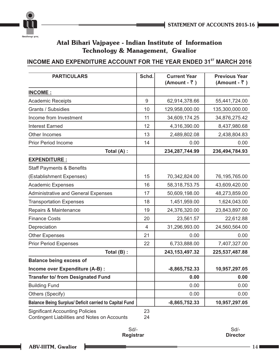



### **INCOME AND EXPENDITURE ACCOUNT FOR THE YEAR ENDED 31<sup>st</sup> MARCH 2016**

| <b>PARTICULARS</b>                                            | Schd. | <b>Current Year</b><br>(Amount - ₹) | <b>Previous Year</b><br>(Amount - ₹) |
|---------------------------------------------------------------|-------|-------------------------------------|--------------------------------------|
| <b>INCOME:</b>                                                |       |                                     |                                      |
| <b>Academic Receipts</b>                                      | 9     | 62,914,378.66                       | 55,441,724.00                        |
| Grants / Subsidies                                            | 10    | 129,958,000.00                      | 135,300,000.00                       |
| Income from Investment                                        | 11    | 34,609,174.25                       | 34,876,275.42                        |
| <b>Interest Earned</b>                                        | 12    | 4,316,390.00                        | 8,437,980.68                         |
| Other Incomes                                                 | 13    | 2,489,802.08                        | 2,438,804.83                         |
| <b>Prior Period Income</b>                                    | 14    | 0.00                                | 0.00                                 |
| Total (A) :                                                   |       | 234,287,744.99                      | 236,494,784.93                       |
| <b>EXPENDITURE:</b>                                           |       |                                     |                                      |
| <b>Staff Payments &amp; Benefits</b>                          |       |                                     |                                      |
| (Establishment Expenses)                                      | 15    | 70,342,824.00                       | 76,195,765.00                        |
| <b>Academic Expenses</b>                                      | 16    | 58,318,753.75                       | 43,609,420.00                        |
| <b>Administrative and General Expenses</b>                    | 17    | 50,609,198.00                       | 48,273,859.00                        |
| <b>Transportation Expenses</b>                                | 18    | 1,451,959.00                        | 1,624,043.00                         |
| Repairs & Maintenance                                         | 19    | 24,376,320.00                       | 23,843,897.00                        |
| <b>Finance Costs</b>                                          | 20    | 23,561.57                           | 22,612.88                            |
| Depreciation                                                  | 4     | 31,296,993.00                       | 24,560,564.00                        |
| <b>Other Expenses</b>                                         | 21    | 0.00                                | 0.00                                 |
| <b>Prior Period Expenses</b>                                  | 22    | 6,733,888.00                        | 7,407,327.00                         |
| Total (B) :                                                   |       | 243, 153, 497. 32                   | 225,537,487.88                       |
| <b>Balance being excess of</b>                                |       |                                     |                                      |
| Income over Expenditure (A-B) :                               |       | $-8,865,752.33$                     | 10,957,297.05                        |
| <b>Transfer to/ from Designated Fund</b>                      |       | 0.00                                | 0.00                                 |
| <b>Building Fund</b>                                          |       | 0.00                                | 0.00                                 |
| Others (Specify)                                              |       | 0.00                                | 0.00                                 |
| <b>Balance Being Surplus/ Deficit carried to Capital Fund</b> |       | $-8,865,752.33$                     | 10,957,297.05                        |
| <b>Significant Accounting Policies</b>                        | 23    |                                     |                                      |

Contingent Liabilities and Notes on Accounts 24

Sd/- **Registrar**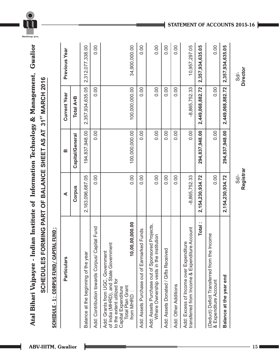**SCHEDULE - 1 : CORPUS FUND/ CAPITAL FUND :** SCHEDULE - 1 : CORPUS FUND/ CAPITAL FUND :

| <b>Particulars</b>                                                                                                                                                                      | ⋖                    | മ               | <b>Current Year</b> | Previous Year    |
|-----------------------------------------------------------------------------------------------------------------------------------------------------------------------------------------|----------------------|-----------------|---------------------|------------------|
|                                                                                                                                                                                         | Corpus               | Capital/General | Total A+B           |                  |
| Balance at the beginning of the year                                                                                                                                                    | 2,163,096,687.05     | 194,837,948.00  | 2,357,934,635.05    | 2,312,077,338.00 |
| Add: Contribution towards Corpus/ Capital Fund                                                                                                                                          | 0.00                 | 0.00            | 0.00                | 0.00             |
| 0,00,000.00<br>of India (MHRD), and State Government<br>10,0<br>Add: Grants from UGC, Government<br>to the extent utilized for<br>Total Plan Grant<br>Capital Expenditure<br>from MHRD: | 0.00                 | 100,000,000.00  | 100,000,000.00      | 34,900,000.00    |
| Add: Assets Purchase out of Earmarked Funds                                                                                                                                             | 0.00                 | 0.00            | 0.00                | 0.00             |
| Add: Assets Purchase out of Sponsored Projects<br>Where Ownership vests in the institution                                                                                              | 0.00                 | 0.00            | 0.00                | 0.00             |
| Add: Assets Donated / Gifts Received                                                                                                                                                    | 0.00                 | 0.00            | 0.00                | 0.00             |
| Add: Other Additions                                                                                                                                                                    | 0.00                 | 0.00            | 0.00                | 0.00             |
| transferred from Income & Expenditure Account<br>Add: Excess of Income over Expenditure                                                                                                 | $-8,865,752.33$      | 0.00            | $-8,865,752.33$     | 10,957,297.05    |
| <b>Total</b>                                                                                                                                                                            | 2, 154, 230, 934. 72 | 294,837,948.00  | 2,449,068,882.72    | 2,357,934,635.05 |
| Income<br>(Deduct) Deficit Transferred from the<br>& Expenditure Account                                                                                                                | 0.00                 | 0.00            | 0.00                | 0.00             |
| Balance at the year end                                                                                                                                                                 | 2, 154, 230, 934. 72 | 294,837,948.00  | 2,449,068,882.72    | 2,357,934,635.05 |

**ABV-IIITM, Gwalior 15**

Sd/- **Registrar**

Sd/-<br>Director **Director**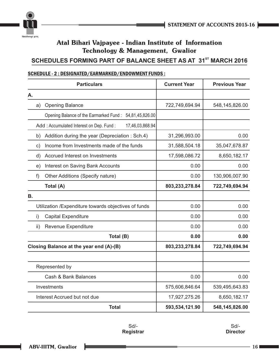

### **SCHEDULES FORMING PART OF BALANCE SHEET AS AT 31<sup>ST</sup> MARCH 2016**

### SCHEDULE - 2 : DESIGNATED/EARMARKED/ENDOWMENT FUNDS :

|     | <b>Particulars</b>                                         | <b>Current Year</b> | <b>Previous Year</b> |
|-----|------------------------------------------------------------|---------------------|----------------------|
| Α.  |                                                            |                     |                      |
| a)  | <b>Opening Balance</b>                                     | 722,749,694.94      | 548,145,826.00       |
|     | Opening Balance of the Earmarked Fund: 54,81,45,826.00     |                     |                      |
|     | Add: Accumulated Interest on Dep. Fund:<br>17,46,03,868.94 |                     |                      |
| b)  | Addition during the year (Depreciation: Sch.4)             | 31,296,993.00       | 0.00                 |
| c)  | Income from Investments made of the funds                  | 31,588,504.18       | 35,047,678.87        |
| d)  | Accrued Interest on Investments                            | 17,598,086.72       | 8,650,182.17         |
| e)  | <b>Interest on Saving Bank Accounts</b>                    | 0.00                | 0.00                 |
| f)  | Other Additions (Specify nature)                           | 0.00                | 130,906,007.90       |
|     | Total (A)                                                  | 803,233,278.84      | 722,749,694.94       |
| В.  |                                                            |                     |                      |
|     | Utilization / Expenditure towards objectives of funds      | 0.00                | 0.00                 |
| i)  | <b>Capital Expenditure</b>                                 | 0.00                | 0.00                 |
| ii) | Revenue Expenditure                                        | 0.00                | 0.00                 |
|     | Total (B)                                                  | 0.00                | 0.00                 |
|     | Closing Balance at the year end (A)-(B)                    | 803,233,278.84      | 722,749,694.94       |
|     |                                                            |                     |                      |
|     | Represented by                                             |                     |                      |
|     | Cash & Bank Balances                                       | 0.00                | 0.00                 |
|     | Investments                                                | 575,606,846.64      | 539,495,643.83       |
|     | Interest Accrued but not due                               | 17,927,275.26       | 8,650,182.17         |
|     | <b>Total</b>                                               | 593,534,121.90      | 548,145,826.00       |

Sd/- **Registrar**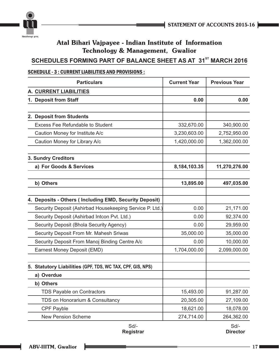



### **SCHEDULES FORMING PART OF BALANCE SHEET AS AT 31<sup>st</sup> MARCH 2016**

### SCHEDULE - 3 : CURRENT LIABILITIES AND PROVISIONS :

| <b>Particulars</b>                                         | <b>Current Year</b> | <b>Previous Year</b> |
|------------------------------------------------------------|---------------------|----------------------|
| A. CURRENT LIABILITIES                                     |                     |                      |
| 1. Deposit from Staff                                      | 0.00                | 0.00                 |
|                                                            |                     |                      |
| 2. Deposit from Students                                   |                     |                      |
| <b>Excess Fee Refundable to Student</b>                    | 332,670.00          | 340,900.00           |
| Caution Money for Institute A/c                            | 3,230,603.00        | 2,752,950.00         |
| Caution Money for Library A/c                              | 1,420,000.00        | 1,362,000.00         |
| <b>3. Sundry Creditors</b>                                 |                     |                      |
| a) For Goods & Services                                    | 8,184,103.35        | 11,270,276.00        |
| b) Others                                                  | 13,895.00           | 497,035.00           |
|                                                            |                     |                      |
| 4. Deposits - Others (Including EMD, Security Deposit)     |                     |                      |
| Security Deposit (Ashirbad Housekeeping Service P. Ltd.)   | 0.00                | 21,171.00            |
| Security Deposit (Ashirbad Intcon Pvt. Ltd.)               | 0.00                | 92,374.00            |
| Security Deposit (Bhola Security Agency)                   | 0.00                | 29,959.00            |
| Security Deposit From Mr. Mahesh Sriwas                    | 35,000.00           | 35,000.00            |
| Security Deposit From Manoj Binding Centre A/c             | 0.00                | 10,000.00            |
| Earnest Money Deposit (EMD)                                | 1,704,000.00        | 2,099,000.00         |
| 5. Statutory Liabilities (GPF, TDS, WC TAX, CPF, GIS, NPS) |                     |                      |
| a) Overdue                                                 |                     |                      |
| b) Others                                                  |                     |                      |
| <b>TDS Payable on Contractors</b>                          | 15,493.00           | 91,287.00            |
| TDS on Honorarium & Consultancy                            | 20,305.00           | 27,109.00            |
| <b>CPF Payble</b>                                          | 18,621.00           | 18,078.00            |
| <b>New Pension Scheme</b>                                  | 274,714.00          | 264,362.00           |
|                                                            |                     | $\sim$ $\mu$         |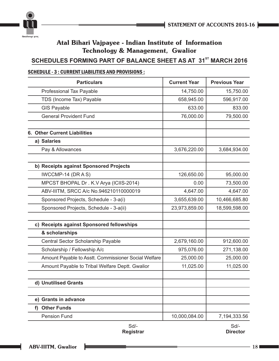



### **SCHEDULES FORMING PART OF BALANCE SHEET AS AT 31<sup>st</sup> MARCH 2016**

### SCHEDULE - 3 : CURRENT LIABILITIES AND PROVISIONS :

| <b>Particulars</b>                                   | <b>Current Year</b> | <b>Previous Year</b> |
|------------------------------------------------------|---------------------|----------------------|
| <b>Professional Tax Payable</b>                      | 14,750.00           | 15,750.00            |
| TDS (Income Tax) Payable                             | 658,945.00          | 596,917.00           |
| <b>GIS Payable</b>                                   | 633.00              | 833.00               |
| <b>General Provident Fund</b>                        | 76,000.00           | 79,500.00            |
|                                                      |                     |                      |
| <b>6. Other Current Liabilities</b>                  |                     |                      |
| a) Salaries                                          |                     |                      |
| Pay & Allowances                                     | 3,676,220.00        | 3,684,934.00         |
|                                                      |                     |                      |
| b) Receipts against Sponsored Projects               |                     |                      |
| IWCCMP-14 (DRAS)                                     | 126,650.00          | 95,000.00            |
| MPCST BHOPAL Dr. K.V Arya (ICIIS-2014)               | 0.00                | 73,500.00            |
| ABV-IIITM, SRCC A/c No.946210110000019               | 4,647.00            | 4,647.00             |
| Sponsored Projects, Schedule - 3-a(i)                | 3,655,639.00        | 10,466,685.80        |
| Sponsored Projects, Schedule - 3-a(ii)               | 23,973,859.00       | 18,599,598.00        |
|                                                      |                     |                      |
| c) Receipts against Sponsored fellowships            |                     |                      |
| & scholarships                                       |                     |                      |
| Central Sector Scholarship Payable                   | 2,679,160.00        | 912,600.00           |
| Scholarship / Fellowship A/c                         | 975,076.00          | 271,138.00           |
| Amount Payable to Asstt. Commissioner Social Welfare | 25,000.00           | 25,000.00            |
| Amount Payable to Tribal Welfare Deptt. Gwalior      | 11,025.00           | 11,025.00            |
|                                                      |                     |                      |
| d) Unutilised Grants                                 |                     |                      |
| e) Grants in advance                                 |                     |                      |
| f) Other Funds                                       |                     |                      |
| <b>Pension Fund</b>                                  | 10,000,084.00       | 7,194,333.56         |

Sd/- **Registrar** Sd/-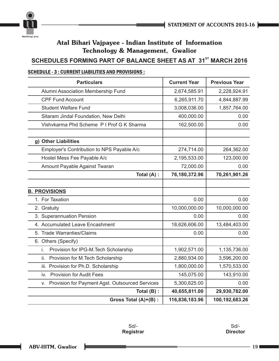



### **SCHEDULES FORMING PART OF BALANCE SHEET AS AT 31<sup>st</sup> MARCH 2016**

### SCHEDULE - 3 : CURRENT LIABILITIES AND PROVISIONS :

| <b>Particulars</b>                                    | <b>Current Year</b> | <b>Previous Year</b> |
|-------------------------------------------------------|---------------------|----------------------|
| Alumni Association Membership Fund                    | 2,674,585.91        | 2,228,924.91         |
| <b>CPF Fund Account</b>                               | 6,265,911.70        | 4,844,887.99         |
| <b>Student Welfare Fund</b>                           | 3,008,036.00        | 1,857,764.00         |
| Sitaram Jindal Foundation, New Delhi                  | 400,000.00          | 0.00                 |
| Vishvkarma Phd Scheme P I Prof G K Sharma             | 162,500.00          | 0.00                 |
|                                                       |                     |                      |
| g) Other Liabilities                                  |                     |                      |
| Employer's Contribution to NPS Payable A/c            | 274,714.00          | 264,362.00           |
| Hostel Mess Fee Payable A/c                           | 2,195,533.00        | 123,000.00           |
| Amount Payable Against Twaran                         | 72,000.00           | 0.00                 |
| Total (A) :                                           | 76,180,372.96       | 70,261,901.26        |
|                                                       |                     |                      |
| <b>B. PROVISIONS</b>                                  |                     |                      |
| 1. For Taxation                                       | 0.00                | 0.00                 |
| 2. Gratuity                                           | 10,000,000.00       | 10,000,000.00        |
| 3. Superannuation Pension                             | 0.00                | 0.00                 |
| 4. Accumulated Leave Encashment                       | 18,626,606.00       | 13,484,403.00        |
| 5. Trade Warranties/Claims                            | 0.00                | 0.00                 |
| 6. Others (Specify)                                   |                     |                      |
| i.<br>Provision for IPG-M. Tech Scholarship           | 1,902,571.00        | 1,135,736.00         |
| Provision for M. Tech Scholarship<br>ii.              | 2,880,934.00        | 3,596,200.00         |
| iii. Provision for Ph.D. Scholarship                  | 1,800,000.00        | 1,570,533.00         |
| <b>Provision for Audit Fees</b><br>iv.                | 145,075.00          | 143,910.00           |
| Provision for Payment Agst. Outsourced Services<br>V. | 5,300,625.00        | 0.00                 |
| Total (B) :                                           | 40,655,811.00       | 29,930,782.00        |
| Gross Total (A)+(B) :                                 | 116,836,183.96      | 100,192,683.26       |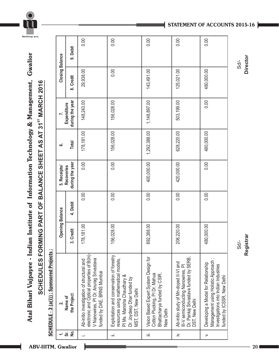Atal Bihari Vajpayee - Indian Institute of Information Technology & Management, Gwalior **Atal Bihari Vajpayee - Indian Institute of Information Technology & Management, Gwalior** SCHEDULES FORMING PART OF BALANCE SHEET AS AT 31<sup>ST</sup> MARCH 2016 **AT 31 MARCH 2016SCHEDULES FORMING PART OF BALANCE SHEET AS** 

| $\div$              | ن<br>آ                                                                                                                                                              | <b>Opening Balance</b> |          | 5. Receipts/                         | ق            | Z.                             | <b>Closing Balance</b> |          |
|---------------------|---------------------------------------------------------------------------------------------------------------------------------------------------------------------|------------------------|----------|--------------------------------------|--------------|--------------------------------|------------------------|----------|
| $\frac{1}{2}$<br>ູ່ | the Project<br>Name of                                                                                                                                              | Credit<br>್ಲ           | 4. Debit | during the year<br><b>Recoveries</b> | Total        | during the year<br>Expenditure | 8. Credit              | 9. Debit |
|                     | electronic and Optical properties of B(In)-<br>V Nanowires, PI Dr. Anurag Srivastava<br>Ab-initio investigation of structural and<br>funded by DAE, BRNS Mumbai     | 178, 181.00            | 0.00     | 0.00                                 | 178,181.00   | 148,243.00                     | 29,938.00              | 0.00     |
| ιË                  | Exploitation and conservation of forestry<br>esources using mathematical models,<br>PI Ms. Manisha Chaudhary &<br>Dr. Joydeep Dhar funded by<br>MST, DST, New Delhi | 156,028.00             | 0.00     | 0.00                                 | 156,028.00   | 156,028.00                     | 0.00                   | 0.00     |
| iΞ                  | Vision Based Expert System Design for<br>Cotton Plucking, PI Dr. Mahua<br>Bhattacharya funded by CSIR,<br>New Delhi                                                 | 892,388.00             | 0.00     | 400,000.00                           | 1,292,388.00 | 1,148,897.00                   | 143,491.00             | 0.00     |
| $\geq$              | Dr. Pankaj Srivastava funded by SERB,<br>Ab-initio study of Mn-doped II-VI and<br>III-V semiconducting Nanowires, PI<br>DST, New Delhi                              | 208,220.00             | 0.00     | 420,000.00                           | 628,220.00   | 503,199.00                     | 125,021.00             | 0.00     |
| $\mathbf{r}$        | Management using Holistic Approach:<br>Developing a Model for Relationship<br>Investigations into Indian Industries<br>funded by ICSSR, New Delhi                   | 480,000.00             | 0.00     | 0.00                                 | 480,000.00   | 0.00                           | 480,000.00             | 0.00     |

Sd/- **Director**

**STATEMENT OF ACCOUNTS 2015-16**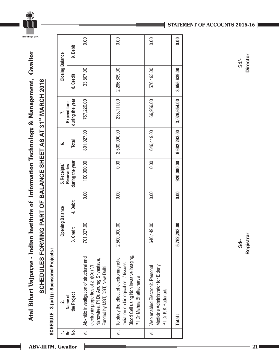

Atal Bihari Vajpayee - Indian Institute of Information Technology & Management, Gwalior **Atal Bihari Vajpayee - Indian Institute of Information Technology & Management, Gwalior** SCHEDULES FORMING PART OF BALANCE SHEET AS AT 31<sup>ST</sup> MARCH 2016 **AT 31 MARCH 2016 SCHEDULES FORMING PART OF BALANCE SHEET AS** 

SCHEDULE - 3 (a(i)) : Sponsored Projects : SCHEDULE - 3 (a(i)) : Sponsored Projects :

|                |                                                                                                                                                          | <b>Opening Balance</b> |          | 5. Receipts/                         | ؘڡ           |                                | <b>Closing Balance</b> |          |
|----------------|----------------------------------------------------------------------------------------------------------------------------------------------------------|------------------------|----------|--------------------------------------|--------------|--------------------------------|------------------------|----------|
| ġ<br>ຮັ        | the Project<br>Name of                                                                                                                                   | redit<br>ပ<br>က        | 4. Debit | during the year<br><b>Recoveries</b> | Total        | during the year<br>Expenditure | 8. Credit              | 9. Debit |
| $\overline{ }$ | Ab-initio investigation of structural and<br>Nanowires, PI Dr. Anurag Srivastava,<br>electronic properties of Zn(Cd)-VI<br>Funded by MST, DST, New Delhi | 701,027.00             | 0.00     | 100,000.00                           | 801,027.00   | 767,220.00                     | 33,807.00              | 0.00     |
|                | Blood Cell using Non invasive imaging,<br>To study the effect of electromagnetic<br>radiation on biological cell / tissues<br>P I Dr Mahua Bhattacharya  | 000.000<br>2,500,      | 0.00     | $\frac{1}{2}$                        | 2,500,000.00 | 233,111.00                     | 2,266,889.00           | 0.00     |
|                | Medicine Administrator for Elderly<br>viii.   Web enabled Electronic Personal<br>PI Dr K K Pattanaik                                                     | ,449.00<br>646.<br>T   | 0.00     | 0.00                                 | 646,449.00   | 69,956.00                      | 576,493.00             | 0.00     |
|                | Total :                                                                                                                                                  | 5,762,293.00           | 0.00     | 920,000.00                           | 6,682,293.00 | 3,026,654.00                   | 3,655,639.00           | 0.00     |

### **STATEMENT OF ACCOUNTS 2015-16**

**Director**  $Sd$ -

Sd/- **Registrar** Sd/- **Director** Registrar  $Sd-$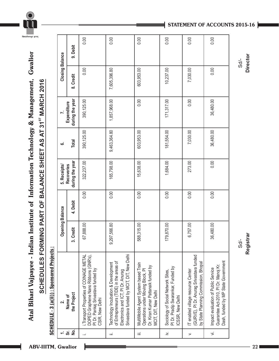

## Atal Bihari Vajpayee - Indian Institute of Information Technology & Management, Gwalior **Atal Bihari Vajpayee - Indian Institute of Information Technology & Management, Gwalior** SCHEDULES FORMING PART OF BALANCE SHEET AS AT 31<sup>8T</sup> MARCH 2016 **AT 31 MARCH 2016SCHEDULES FORMING PART OF BALANCE SHEET AS**

SCHEDULE - 3 (a(ii)) : Sponsored Projects : SCHEDULE - 3 (a(ii)) : Sponsored Projects :

|                      | $\overline{\mathbf{r}}$                                                                                                                                           | <b>Opening Balance</b> |          | 5. Receipts/                         | ဖ            |                                | <b>Closing Balance</b> |          |
|----------------------|-------------------------------------------------------------------------------------------------------------------------------------------------------------------|------------------------|----------|--------------------------------------|--------------|--------------------------------|------------------------|----------|
| $\frac{1}{2}$<br>ຈັ່ | the Project<br>Name of                                                                                                                                            | Credit<br>က်           | 4. Debit | during the year<br><b>Recoveries</b> | <b>Total</b> | during the year<br>Expenditure | 8. Credit              | 9. Debit |
|                      | Transport Properties of COINAGE METAL<br>DOPED Graphene Nano Ribbons (GNR's),<br>PI Dr. Pankaj Srivastava funded by<br>CSIR, New Delhi                            | 67,888.00              | 0.00     | 322,237.00                           | 390,125.00   | 390,125.00                     | 0.00                   | 0.00     |
| ïШ                   | Srivastava funded by MCIT, DIT, New Delhi<br>of Entrepreneurs (TIDE) in the areas of<br>Technology Incubation & Development<br>Electronics and ICT, PI Dr. Anurag | 9,297,566.80           | 0.00     | 165,798.00                           | 9,463,364.80 | 1,857,968.00                   | 7,605,396.80           | 0.00     |
| iΞ                   | MultiMobile Agent System based Train<br>Dr. Kiran Kumar Pattanaik funded by<br>Operations under Moving Block, PI<br>MCIT, DIT, New Delhi                          | 588,315.00             | 0.00     | 15,638.00                            | 603,953.00   | 0.00                           | 603,953.00             | 0.00     |
| ∴.<br>∴              | PI Dr. Pradip Swarankar, Funded by<br>Sociology of Social Network Sites,<br>CSSR, New Delhi                                                                       | 79,870.00<br>÷         | 0.00     | 1,684.00                             | 181,554.00   | 171,317.00                     | 10,237.00              | 0.00     |
| $\mathbf{r}$         | (GURVE), PI Dr. Anurag Srivastava funded<br>by State Planning Commission, Bhopal<br>T enabled village resource Center                                             | 6,757.00               | 0.00     | 273.00                               | 7,030.00     | 0.00                           | 7,030.00               | 0.00     |
| $\overline{5}$       | Dash, funded by MP State Government<br>Guarantee Act-2010, PI Dr. Manoj Kr.<br>Impact evaluation of Public Service                                                | 36,480.00              | 0.00     | 0.00                                 | 36,480.00    | 36,480.00                      | 0.00                   | 0.00     |

### **STATEMENT OF ACCOUNTS 2015-16**

Sd/- **Registrar**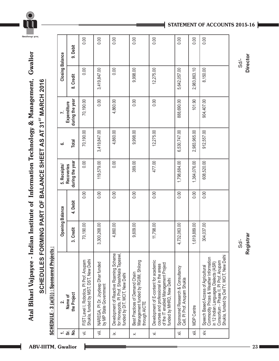## Atal Bihari Vajpayee - Indian Institute of Information Technology & Management, Gwalior **Atal Bihari Vajpayee - Indian Institute of Information Technology & Management, Gwalior** SCHEDULES FORMING PART OF BALANCE SHEET AS AT 31<sup>ST</sup> MARCH 2016 **AT 31 MARCH 2016SCHEDULES FORMING PART OF BALANCE SHEET AS**

SCHEDULE - 3 (a(ii)) : Sponsored Projects : SCHEDULE - 3 (a(ii)) : Sponsored Projects :

|                | $\dot{\mathbf{v}}$                                                                                                                                                                                           | <b>Opening Balance</b> |          | 5. Receipts/                         | 6            |                                | <b>Closing Balance</b> |          |
|----------------|--------------------------------------------------------------------------------------------------------------------------------------------------------------------------------------------------------------|------------------------|----------|--------------------------------------|--------------|--------------------------------|------------------------|----------|
| غ<br>R<br>င်္တ | the Project<br>Name of                                                                                                                                                                                       | Credit<br>က်           | 4. Debit | during the year<br><b>Recoveries</b> | Total        | during the year<br>Expenditure | 8. Credit              | 9. Debit |
| '≡             | Shukla, funded by MST, DST, New Delhi<br>FIST Lavel I, Robotics, PI Prof. Anupam                                                                                                                             | 70,190.00              | 0.00     | 0.00                                 | 70,190.00    | 70,190.00                      | 0.00                   | 0.00     |
| :≡             | NAREGA, PI Dr. Joydeep Dhar funded<br>by MP State Government                                                                                                                                                 | 3,300,268.00           | 0.00     | 119,579.00                           | 3,419,847.00 | 0.00                           | 3,419,847.00           | 0.00     |
| ×.             | Development of Reactive Roaming Scheme<br>for Honeypots, PI Prof. Shashikala Tapaswi,<br>funded by DIT, MCIT, New Delhi                                                                                      | 4,860.00               | 0.00     | 0.00                                 | 4,860.00     | 4,860.00                       | 0.00                   | 0.00     |
| $\dot{\times}$ | Management funded by RGIIM, Shilong<br>Best Practices of Demand Chain<br>through AICTE                                                                                                                       | 9,609.00               | 0.00     | 389.00                               | 9,998.00     | 0.00                           | 9,998.00               | 0.00     |
| '≍́            | Development of E-content for academic<br>of the IT enabled Management Project<br>courses and professional in the areas<br>funded by MHRD, New Delhi                                                          | 11,798.00              | 0.00     | 477.00                               | 12,275.00    | 0.00                           | 12,275.00              | 0.00     |
| "<br>※         | Sponsored Research & Consultancy<br>Cell, PI Prof. Anupam Shukla                                                                                                                                             | 4,732,063.00           | 0.00     | 1,798,684.00                         | 6,530,747.00 | 888,690.00                     | 5,642,057.00           | 0.00     |
| iii.           | <b>MDP Centre</b>                                                                                                                                                                                            | 1,619,889.00           | 0.00     | 1,364,076.00                         | 2,983,965.00 | 101.90                         | 2,983,863.10           | 0.00     |
| хiу.           | Shukla, funded by DeITY, MCIT, New Delhi<br>Commodity Prices & Weather Information<br>Consortium - Phase II, PI Prof. Anupam<br>in 12 Indian Languages Dialects (ASR)<br>Speech Based Access of Agricultural | 304,037.00             | 0.00     | 608,520.00                           | 912,557.00   | 904,407.00                     | 8,150.00               | 0.00     |

**STATEMENT OF ACCOUNTS 2015-16**

Sd/- **Registrar**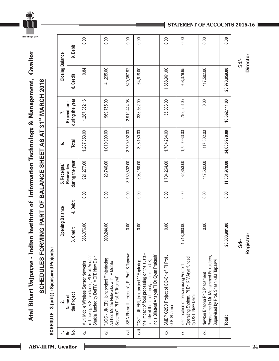

## Atal Bihari Vajpayee - Indian Institute of Information Technology & Management, Gwalior **Atal Bihari Vajpayee - Indian Institute of Information Technology & Management, Gwalior** SCHEDULES FORMING PART OF BALANCE SHEET AS AT 31<sup>ST</sup> MARCH 2016 **AT 31 MARCH 2016SCHEDULES FORMING PART OF BALANCE SHEET AS**

SCHEDULE - 3 (a(ii)) : Sponsored Projects : SCHEDULE - 3 (a(ii)) : Sponsored Projects :

|                     | $\dot{\mathbf{r}}$                                                                                                                                                                     | <b>Opening Balance</b> |          | 5. Receipts/                         | .<br>ت        |                                | <b>Closing Balance</b> |          |
|---------------------|----------------------------------------------------------------------------------------------------------------------------------------------------------------------------------------|------------------------|----------|--------------------------------------|---------------|--------------------------------|------------------------|----------|
| $\frac{1}{2}$<br>ຮັ | the Project<br>Name of                                                                                                                                                                 | Credit<br>က်           | 4. Debit | during the year<br><b>Recoveries</b> | Total         | during the year<br>Expenditure | 8. Credit              | 9. Debit |
| χ.                  | in Tracking & Surveillance, PI Prof. Anupam<br>Shukla, funded by DeITY, MCIT, New Delhi<br>Multi Mobile Wireless Sensor Networks                                                       | 366,076.00             | 0.00     | 921,277.00                           | 1,287,353.00  | 1,287,352.16                   | 0.84                   | 0.00     |
| χij.                | "UGC - UKIERI, joint project ""Interfacing<br>Ad-hoc Mobile Networks with IP Mobile<br>Systems"" PI Prof. S Tapaswi"                                                                   | 990,244.00             | 0.00     | 20,746.00                            | 1,010,990.00  | 969,755.00                     | 41,235.00              | 0.00     |
| хvii.               | SEA Phase II project of, PI Prof. S. Tapaswi                                                                                                                                           | 0.00                   | 0.00     | 3,739,802.00                         | 3,739,802.00  | 2,919,444.08                   | 820, 357.92            | 0.00     |
| xviii.              | the impact of food processing on the sustai-<br>India Bilateral AnalysisPI Dr Gyan Prakash"<br>nability of the food supply chains - a UK,<br>"DST - UKIERI, joint project "" Exploring | 0.00                   | 0.00     | 398,180.00                           | 398,180.00    | 333,562.00                     | 64,618.00              | 0.00     |
| хiх.                | SMDP C2SD Project of CO-Chief PI Prof.<br>G K Sharma                                                                                                                                   | 0.00                   | 0.00     | 1,704,264.00                         | 1,704,264.00  | 35,303.00                      | 1,668,961.00           | 0.00     |
| X.                  | Operating System, PI Dr. K V Arya funded<br>Identification of person using Android<br>by DST, New Delhi                                                                                | 18,080.00<br>İ,        | 0.00     | 32,853.00                            | 1,750,933.00  | 792,556.05                     | 958,376.95             | 0.00     |
| χi.                 | Programme to Mr. Mohammed Fakurdeen,<br>Supervised by Prof. Shashikala Tapaswi<br>Newton Bhabha PhD Placement                                                                          | 0.00                   | 0.00     | 117,502.00                           | 117,502.00    | 0.00                           | 117,502.00             | 0.00     |
|                     | Total:                                                                                                                                                                                 | 23,303,991.00          | 0.00     | 11,331,979.00                        | 34,635,970.00 | 10,662,111.00                  | 23,973,859.00          | 0.00     |

**STATEMENT OF ACCOUNTS 2015-16**

Sd/- **Director**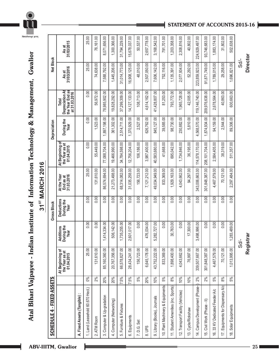## Atal Bihari Vajpayee - Indian Institute of Information Technology & Management, Gwalior **Atal Bihari Vajpayee - Indian Institute of Information Technology & Management, Gwalior** 31<sup>ST</sup> MARCH 2016 **ST 31 MARCH 2016**

| 4 - FIXED ASSETS<br><b>SCHEDULE</b> |       |                                                 |                                        | Gross Block                             |                                        |                                                 | Depreciation       |                                                              | Net Block           |                     |
|-------------------------------------|-------|-------------------------------------------------|----------------------------------------|-----------------------------------------|----------------------------------------|-------------------------------------------------|--------------------|--------------------------------------------------------------|---------------------|---------------------|
|                                     |       | At Beginning of<br>the Year as at<br>01.04.2015 | uring the<br>dditions<br>Year<br>∢Ճ    | <b>Deductions</b><br>During the<br>Year | At the Year<br>31.03.2016<br>End as at | At Beginning of<br>the Year as at<br>01.04.2015 | During the<br>Year | Depreciation At<br>the Year End as<br>at 31.03.2016<br>Total | 31/03/2016<br>As at | 31/03/2015<br>As at |
| A. Fixed Assets (Tangible):         |       |                                                 |                                        |                                         |                                        |                                                 |                    |                                                              |                     |                     |
| 1. Land (Leasehold 60.670 Hect.)    | $0\%$ | 25.00                                           | 0.00                                   | 0.00                                    | 25.00                                  | 0.00                                            | 0.00               | 0.00                                                         | 25.00               | 25.00               |
| 2. ATM Room                         | 2%    | 131,610.00                                      | 0.00                                   | 0.00                                    | 31,610.00                              | 55,449.00                                       | 1,523.00           | 56,972.00                                                    | 74,638.00           | 76,161.00           |
| 3. Computer & Up-gradation          | 20%   | 85,160,360.00                                   | 414,334.00<br>$\overline{\phantom{0}}$ | 0.00                                    | 86,574,694.00                          | 77,088,704.00                                   | 1,897,198.00       | 78,985,902.00                                                | 7,588,792.00        | 8,071,656.00        |
| 4. Computer (Networking)            | 20%   | 20,767,356.00                                   | 506,142.00                             | 0.00                                    | 21,273,498.00                          | 19,466,990.00                                   | 361,302.00         | 19,828,292.00                                                | 1,445,206.00        | 1,300,366.00        |
| Furniture & Fixtures<br>5           | 7.5%  | 66,578,827.00                                   | 735,255.00<br>$\overline{ }$           | 0.00                                    | 68,314,082.00                          | 34,784,598.00                                   | 514,711.00         | 37,299,309.00                                                | 31,014,773.00       | 31,794,229.00       |
| Equipments<br>ේ                     | 7.5%  | 28,434,241.00                                   | 601,017.00<br>$\sim$                   | 0.00                                    | 31,035,258.00                          | 12,756,204.00                                   | 1,370,929.00       | 14,127,133.00                                                | 16,908,125.00       | 15,678,037.00       |
| 7. D.G. Set                         | 5%    | 156,723.00                                      | 0.00                                   | 0.00                                    | 156,723.00                             | 106,186.00                                      | 2,527.00           | 108,713.00                                                   | 48,010.00           | 50,537.00           |
| 8.UPS                               | 20%   | 6,645,178.00                                    | 476,034.00                             | 0.00                                    | 7,121,212.00                           | 3,987,400.00                                    | 626,762.00         | 4,614,162.00                                                 | 2,507,050.00        | 2,657,778.00        |
| 9. Library (Books), Journals        | 10%   | 43,752,222.00                                   | 282,727.00<br>5                        | 0.00                                    | 49,034,949.00                          | 40,583,680.00                                   | 845,127.00         | 41,428,807.00                                                | 7,606,142.00        | 3,168,542.00        |
| 10. Plant Machinery & Equipments    | 5%    | 833,369.00                                      | 0.00                                   | 0.00                                    | 833,369.00                             | 41,668.00                                       | 39,585.00          | 81,253.00                                                    | 752,116.00          | 791,701.00          |
| 11. Student Amenities (inc. Sports) | 8%    | 1,898,400.00                                    | 30,763.00                              | 0.00                                    | 1,929,163.00                           | 695,042.00                                      | 98,730.00          | 793,772.00                                                   | 1,135,391.00        | 1,203,358.00        |
| 12. Transport Facility (Vehicles)   | 10%   | 4,043,662.00                                    | 0.00                                   | 0.00                                    | 4,043,662.00                           | 1,734,846.00                                    | 230,882.00         | 965,728.00                                                   | 2,077,934.00        | 2,308,816.00        |
| 13. Cycle/Rickshaw                  | 10%   | 76,997.00                                       | 17,300.00                              | 0.00                                    | 94,297.00                              | 36,195.00                                       | 5.810.00           | 42,005.00                                                    | 52,292.00           | 40,802.00           |
| 14. Campus Development (Phase-      | 2%    | 339,507,667.00                                  | 498,996.00<br>S                        | 0.00                                    | 343,006,663.00                         | 114,578,170.00                                  | 4,568,570.00       | 119, 146, 740.00                                             | 223, 859, 923.00    | 224,929,497.00      |
| 15. Civil Work (Phase - II)         | 2%    | 301,848,387.00                                  | 0.00                                   | 0.00                                    | 301,848,387.00                         | 208,101,704.00                                  | 1,874,934.00       | 209,976,638.00                                               | 91,871,749.00       | 93,746,683.00       |
| 16. 33 KV Dedicated Feeder A/c      | 5%    | 4,467,579.00                                    | 0.00                                   | 0.00                                    | 4,467,579.00                           | 2,584,405.00                                    | 94,159.00          | 2,678,564.00                                                 | 1,789,015.00        | 1,883,174.00        |
| 17. Equipments for Dispensary A/c   | 8%    | 70,121.00                                       | 0.00                                   | 0.00                                    | 70,121.00                              | 38,319.00                                       | 2,544.00           | 40,863.00                                                    | 29,258.00           | 31,802.00           |
| 18. Solar Equipments                | 5%    | 1,013,995.00                                    | 283,489.00<br>$\overline{ }$           | 0.00                                    | 2,297,484.00                           | 511,357.00                                      | 89,306.00          | 600,663.00                                                   | 1,696,821.00        | 502,638.00          |

**STATEMENT OF ACCOUNTS 2015-16**

Sd/- **Director**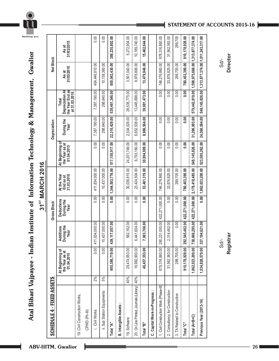## Atal Bihari Vajpayee - Indian Institute of Information Technology & Management, Gwalior **Atal Bihari Vajpayee - Indian Institute of Information Technology & Management, Gwalior**



| <b>SCHEDULE 4 - FIXED ASSETS</b>              |     |                                                 |                                        | <b>Gross Block</b>                      |                                        |                                                 | Depreciation       |                                                             | Net Block                                                    |                     |
|-----------------------------------------------|-----|-------------------------------------------------|----------------------------------------|-----------------------------------------|----------------------------------------|-------------------------------------------------|--------------------|-------------------------------------------------------------|--------------------------------------------------------------|---------------------|
|                                               |     | At Beginning of<br>the Year as at<br>01.04.2015 | <b>Additions</b><br>During the<br>Year | <b>Deductions</b><br>During the<br>Year | At the Year<br>31.03.2016<br>End as at | At Beginning of<br>the Year as at<br>01.04.2015 | During the<br>Year | the Year End as<br>at 31.03.2016<br>Depreciation A<br>Total | 31/03/2016<br>As at                                          | 31/03/2015<br>As at |
| 19. Civil Construction Works,                 |     |                                                 |                                        |                                         |                                        |                                                 |                    |                                                             |                                                              |                     |
| CPWD (Ph-III)                                 |     |                                                 |                                        |                                         |                                        |                                                 |                    |                                                             |                                                              |                     |
| i. Civil Works                                | 2%  | 0.00                                            | 834,000.00<br>411                      | $\overline{0.00}$                       | 411,834,000.00                         | 0.00                                            | 7,387,190.00       | 7,387,190.00                                                | 404,446,810.00                                               | 0.00                |
| ii. Sub Station Equipments                    | 5%  | 0.00                                            | 437,000.00<br>₽                        | 0.00                                    | 10,437,000.00                          | 0.00                                            | 298,640.00         | 298,640.00                                                  | 10, 138, 360.00                                              | 0.00                |
| Total "A"                                     |     | 905,386,719.00                                  | 1117,057.00<br>439                     | $\overline{0.00}$                       | 1,344,503,776.00                       | 517,150,917.00                                  | 22,310,429.00      | 539,461,346.00                                              | 805,042,430.00                                               | 388,235,802.00      |
| <b>B. Intangible Assets</b>                   |     |                                                 |                                        |                                         |                                        |                                                 |                    |                                                             |                                                              |                     |
| 19. Software                                  | 40% | 29,474,653.00                                   | 562,162.00                             | 0.00                                    | 30,036,815.00                          | 24,201,749.00                                   | 2,334,026.00       | 26,535,775.00                                               | 3,501,040.00                                                 | 5,272,904.00        |
| 20. On Line Printed, Journals (Library)   40% |     | 16,982,900.00                                   | ,441,604.00                            | 0.00                                    | 23,424,504.00                          | 6,793,160.00                                    | 6,652,538.00       | 13,445,698.00                                               | 9,978,806.00                                                 | 10, 189, 740.00     |
| Total "B"                                     |     | 46,457,553.00                                   | ,003,766.00                            | 0.00                                    | 53,461,319.00                          | 30,994,909.00                                   | 8,986,564.00       | 39,981,473.00                                               | 13,479,846.00                                                | 15,462,644.00       |
| C. Capital Work-in-Progress:                  |     |                                                 |                                        |                                         |                                        |                                                 |                    |                                                             |                                                              |                     |
| 1. Civil Construction Work (Phase-III)        |     | 878,316,860.00                                  | 231,000.00<br>290                      | 422,271,000.00                          | 746,276,860.00                         | 0.00                                            | 0.00               | 0.00                                                        | 746,276,860.00                                               | 878,316,860.00      |
| 2. Consultancy for Construction               |     | 31,562,363.00                                   | 314,462.00<br>N                        | 0.00                                    | 33,876,825.00                          | 0.00                                            | 0.00               | 0.00                                                        | 33,876,825.00                                                | 31,562,363.00       |
| 3. TA Related to Construction                 |     | 299,705.00                                      | 0.00                                   | 0.00                                    | 299,705.00                             | 0.00                                            | 0.00               | 0.00                                                        | 299,705.00                                                   | 299,705             |
| Total "C"                                     |     | 910, 178, 928.00                                | 545,462.00<br>292                      | 422,271,000.00                          | 780,453,390.00                         | $\frac{8}{10}$                                  | $\frac{8}{10}$     | 0.00                                                        | 780,453,390.00                                               | 910, 178, 928.00    |
| Total (A+B+C)                                 |     | 1,862,023,200.00                                | 666,285.00<br>738                      | 422,271,000.00                          | 2,178,418,485.00                       | 548, 145, 826.00                                | 31,296,993.00      |                                                             | 579,442,819.00   1,598,975,666.00   1,313,877,374.00         |                     |
| Previous Year (2013-14)                       |     | 1,534,828,579.00                                | 194,621.00<br>327                      |                                         | $0.00$   1,862,023,200.00              | 523,585,262.00                                  | 24,560,564.00      |                                                             | 548, 145, 826.00   1, 313, 877, 374.00   1, 011, 243, 317.00 |                     |

### **STATEMENT OF ACCOUNTS 2015-16**

Sd/- **Director**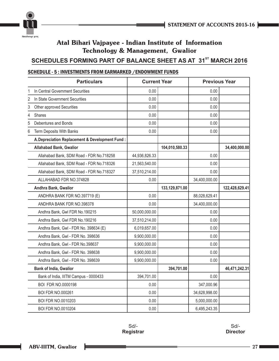

### **SCHEDULES FORMING PART OF BALANCE SHEET AS AT 31<sup>st</sup> MARCH 2016**

### SCHEDULE - 5 : INVESTMENTS FROM EARMARKED /ENDOWMENT FUNDS

|   | <b>Particulars</b>                              | <b>Current Year</b> |                  | <b>Previous Year</b> |                |
|---|-------------------------------------------------|---------------------|------------------|----------------------|----------------|
| 1 | In Central Government Securities                | 0.00                |                  | 0.00                 |                |
| 2 | In State Government Securities                  | 0.00                |                  | 0.00                 |                |
| 3 | Other approved Securities                       | 0.00                |                  | 0.00                 |                |
| 4 | <b>Shares</b>                                   | 0.00                |                  | 0.00                 |                |
| 5 | Debentures and Bonds                            | 0.00                |                  | 0.00                 |                |
| 6 | Term Deposits With Banks                        | 0.00                |                  | 0.00                 |                |
|   | A. Depreciation Replacement & Development Fund: |                     |                  |                      |                |
|   | <b>Allahabad Bank, Gwalior</b>                  |                     | 104,010,580.33   |                      | 34,400,000.00  |
|   | Allahabad Bank, SDM Road - FDR No.718258        | 44,936,826.33       |                  | 0.00                 |                |
|   | Allahabad Bank, SDM Road - FDR No.718326        | 21,563,540.00       |                  | 0.00                 |                |
|   | Allahabad Bank, SDM Road - FDR No.718327        | 37,510,214.00       |                  | 0.00                 |                |
|   | ALLAHABAD FDR NO.374828                         | 0.00                |                  | 34,400,000.00        |                |
|   | Andhra Bank, Gwalior                            |                     | 133, 129, 871.00 |                      | 122,428,629.41 |
|   | ANDHRA BANK FDR NO.397719 (E)                   | 0.00                |                  | 88,028,629.41        |                |
|   | ANDHRA BANK FDR NO.398378                       | 0.00                |                  | 34,400,000.00        |                |
|   | Andhra Bank, Gwl FDR No.190215                  | 50,000,000.00       |                  | 0.00                 |                |
|   | Andhra Bank, Gwl FDR No.190216                  | 37,510,214.00       |                  | 0.00                 |                |
|   | Andhra Bank, Gwl - FDR No. 398634 (E)           | 6,019,657.00        |                  | 0.00                 |                |
|   | Andhra Bank, Gwl - FDR No. 398636               | 9,900,000.00        |                  | 0.00                 |                |
|   | Andhra Bank, Gwl - FDR No.398637                | 9,900,000.00        |                  | 0.00                 |                |
|   | Andhra Bank, Gwl - FDR No. 398638               | 9,900,000.00        |                  | 0.00                 |                |
|   | Andhra Bank, Gwl - FDR No. 398639               | 9,900,000.00        |                  | 0.00                 |                |
|   | <b>Bank of India, Gwalior</b>                   |                     | 394,701.00       |                      | 46,471,242.31  |
|   | Bank of India, IIITM Campus - 0000433           | 394,701.00          |                  | 0.00                 |                |
|   | BOI FDR NO.0000198                              | 0.00                |                  | 347,000.96           |                |
|   | <b>BOI FDR NO.000261</b>                        | 0.00                |                  | 34,628,998.00        |                |
|   | BOI FDR NO.0010203                              | 0.00                |                  | 5,000,000.00         |                |
|   | <b>BOI FDR NO.0010204</b>                       | 0.00                |                  | 6,495,243.35         |                |

Sd/- **Registrar**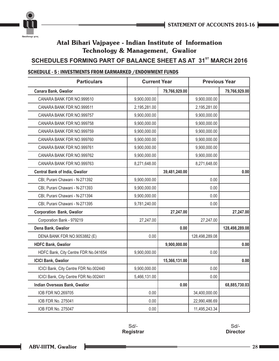



### **SCHEDULES FORMING PART OF BALANCE SHEET AS AT 31<sup>st</sup> MARCH 2016**

### SCHEDULE - 5 : INVESTMENTS FROM EARMARKED /ENDOWMENT FUNDS

| <b>Particulars</b>                    | <b>Current Year</b> |               | <b>Previous Year</b> |                |
|---------------------------------------|---------------------|---------------|----------------------|----------------|
| Canara Bank, Gwalior                  |                     | 79,766,929.00 |                      | 79,766,929.00  |
| CANARA BANK FDR NO.999510             | 9,900,000.00        |               | 9,900,000.00         |                |
| CANARA BANK FDR NO.999511             | 2,195,281.00        |               | 2,195,281.00         |                |
| CANARA BANK FDR NO.999757             | 9,900,000.00        |               | 9,900,000.00         |                |
| CANARA BANK FDR NO.999758             | 9,900,000.00        |               | 9,900,000.00         |                |
| CANARA BANK FDR NO.999759             | 9,900,000.00        |               | 9,900,000.00         |                |
| CANARA BANK FDR NO.999760             | 9,900,000.00        |               | 9,900,000.00         |                |
| CANARA BANK FDR NO.999761             | 9,900,000.00        |               | 9,900,000.00         |                |
| CANARA BANK FDR NO.999762             | 9,900,000.00        |               | 9,900,000.00         |                |
| CANARA BANK FDR NO.999763             | 8,271,648.00        |               | 8,271,648.00         |                |
| <b>Central Bank of India, Gwalior</b> |                     | 39,481,240.00 |                      | 0.00           |
| CBI, Purani Chawani - N-271392        | 9,900,000.00        |               | 0.00                 |                |
| CBI, Purani Chawani - N-271393        | 9,900,000.00        |               | 0.00                 |                |
| CBI, Purani Chawani - N-271394        | 9,900,000.00        |               | 0.00                 |                |
| CBI, Purani Chawani - N-271395        | 9,781,240.00        |               | 0.00                 |                |
| <b>Corporation Bank, Gwalior</b>      |                     | 27,247.00     |                      | 27,247.00      |
| Corporation Bank - 979219             | 27,247.00           |               | 27,247.00            |                |
| Dena Bank, Gwalior                    |                     | 0.00          |                      | 128,498,289.08 |
| DENA BANK FDR NO.9053882 (E)          | 0.00                |               | 128,498,289.08       |                |
| <b>HDFC Bank, Gwalior</b>             |                     | 9,900,000.00  |                      | 0.00           |
| HDFC Bank, City Centre FDR No.041654  | 9,900,000.00        |               | 0.00                 |                |
| <b>ICICI Bank, Gwalior</b>            |                     | 15,366,131.00 |                      | 0.00           |
| ICICI Bank, City Centre FDR No.002440 | 9,900,000.00        |               | 0.00                 |                |
| ICICI Bank, City Centre FDR No.002441 | 5,466,131.00        |               | 0.00                 |                |
| Indian Overseas Bank, Gwalior         |                     | 0.00          |                      | 68,885,730.03  |
| IOB FDR NO.269705                     | 0.00                |               | 34,400,000.00        |                |
| IOB FDR No. 275041                    | 0.00                |               | 22,990,486.69        |                |
| <b>IOB FDR No. 275047</b>             | 0.00                |               | 11,495,243.34        |                |

Sd/- **Registrar**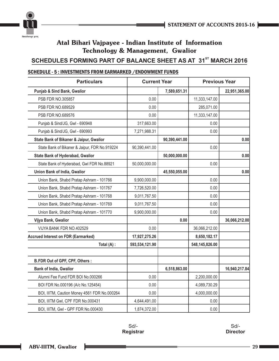



### **SCHEDULES FORMING PART OF BALANCE SHEET AS AT 31<sup>st</sup> MARCH 2016**

### SCHEDULE - 5 : INVESTMENTS FROM EARMARKED /ENDOWMENT FUNDS

| <b>Particulars</b>                            | <b>Current Year</b> |               | <b>Previous Year</b> |               |
|-----------------------------------------------|---------------------|---------------|----------------------|---------------|
| <b>Punjab &amp; Sind Bank, Gwalior</b>        |                     | 7,589,651.31  |                      | 22,951,365.00 |
| PSB FDR NO.305857                             | 0.00                |               | 11,333,147.00        |               |
| PSB FDR NO.689529                             | 0.00                |               | 285,071.00           |               |
| PSB FDR NO.689576                             | 0.00                |               | 11,333,147.00        |               |
| Punjab & Sind/JG, Gwl - 690948                | 317,663.00          |               | 0.00                 |               |
| Punjab & Sind/JG, Gwl - 690993                | 7,271,988.31        |               | 0.00                 |               |
| State Bank of Bikaner & Jaipur, Gwalior       |                     | 90,390,441.00 |                      | 0.00          |
| State Bank of Bikaner & Jaipur, FDR No.919224 | 90,390,441.00       |               | 0.00                 |               |
| <b>State Bank of Hyderabad, Gwalior</b>       |                     | 50,000,000.00 |                      | 0.00          |
| State Bank of Hyderabad, Gwl FDR No.88921     | 50,000,000.00       |               | 0.00                 |               |
| Union Bank of India, Gwalior                  |                     | 45,550,055.00 |                      | 0.00          |
| Union Bank, Shabd Pratap Ashram - 101766      | 9,900,000.00        |               | 0.00                 |               |
| Union Bank, Shabd Pratap Ashram - 101767      | 7,726,520.00        |               | 0.00                 |               |
| Union Bank, Shabd Pratap Ashram - 101768      | 9,011,767.50        |               | 0.00                 |               |
| Union Bank, Shabd Pratap Ashram - 101769      | 9,011,767.50        |               | 0.00                 |               |
| Union Bank, Shabd Pratap Ashram - 101770      | 9,900,000.00        |               | 0.00                 |               |
| Vijya Bank, Gwalior                           |                     | 0.00          |                      | 36,066,212.00 |
| VIJYA BANK FDR NO.402529                      | 0.00                |               | 36,066,212.00        |               |
| <b>Accrued Interest on FDR (Earmarked)</b>    | 17,927,275.26       |               | 8,650,182.17         |               |
| Total (A) :                                   | 593,534,121.90      |               | 548,145,826.00       |               |
|                                               |                     |               |                      |               |
| B.FDR Out of GPF, CPF, Others :               |                     |               |                      |               |
| <b>Bank of India, Gwalior</b>                 |                     | 6,518,863.00  |                      | 16,940,217.84 |
| Alumni Fee Fund FDR BOI No.000266             | 0.00                |               | 2,200,000.00         |               |
| BOI FDR No.000196 (A/c No.125454)             | 0.00                |               | 4,089,730.29         |               |
| BOI, IIITM, Caution Money 4561 FDR No.000264  | 0.00                |               | 4,000,000.00         |               |
| BOI, IIITM Gwl, CPF FDR No.000431             | 4,644,491.00        |               | 0.00                 |               |
| BOI, IIITM, Gwl - GPF FDR No.000430           | 1,874,372.00        |               | 0.00                 |               |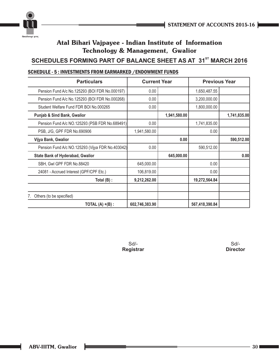

### **SCHEDULES FORMING PART OF BALANCE SHEET AS AT 31<sup>st</sup> MARCH 2016**

### SCHEDULE - 5 : INVESTMENTS FROM EARMARKED /ENDOWMENT FUNDS

| <b>Particulars</b>                               | <b>Current Year</b> |              | <b>Previous Year</b> |              |
|--------------------------------------------------|---------------------|--------------|----------------------|--------------|
| Pension Fund A/c No.125293 (BOI FDR No.000197)   | 0.00                |              | 1,650,487.55         |              |
| Pension Fund A/c No.125293 (BOI FDR No.000268)   | 0.00                |              | 3,200,000.00         |              |
| Student Welfare Fund FDR BOI No.000265           | 0.00                |              | 1,800,000.00         |              |
| <b>Punjab &amp; Sind Bank, Gwalior</b>           |                     | 1,941,580.00 |                      | 1,741,835.00 |
| Pension Fund A/c NO.125293 (PSB FDR No.689491)   | 0.00                |              | 1,741,835.00         |              |
| PSB, J/G, GPF FDR No.690906                      | 1,941,580.00        |              | 0.00                 |              |
| Vijya Bank, Gwalior                              |                     | 0.00         |                      | 590,512.00   |
| Pension Fund A/c NO.125293 (Vijya FDR No.403042) | 0.00                |              | 590,512.00           |              |
| <b>State Bank of Hyderabad, Gwalior</b>          |                     | 645,000.00   |                      | 0.00         |
| SBH, Gwl GPF FDR No.88420                        | 645,000.00          |              | 0.00                 |              |
| 24081 - Accrued Interest (GPF/CPF Etc.)          | 106,819.00          |              | 0.00                 |              |
| Total (B) :                                      | 9,212,262.00        |              | 19,272,564.84        |              |
|                                                  |                     |              |                      |              |
| Others (to be specified)                         |                     |              |                      |              |
| TOTAL $(A) + (B)$ :                              | 602,746,383.90      |              | 567,418,390.84       |              |

Sd/- **Registrar**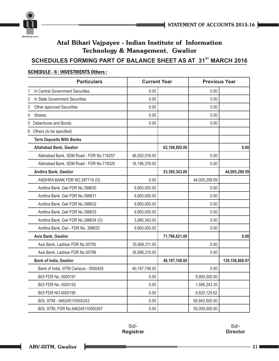



### **SCHEDULES FORMING PART OF BALANCE SHEET AS AT 31<sup>ST</sup> MARCH 2016**

### **Particulars Current Year Previous Year** 1 In Central Government Securities **1** 0.00 0.00 0.00 2 In State Government Securities **0.00** 0.00 0.00 0.00 3 Other approved Securities **0.00** 0.00 0.00 0.00 4 Shares 0.00 0.00 5 Debentures and Bonds 0.00 0.00 6 Others (to be specified) **Term Deposits With Banks Allahabad Bank, Gwalior 62,198,892.00 0.00** Allahabad Bank, SDM Road - FDR No.718257  $\vert$  46,002,516.00  $\vert$  0.00 Allahabad Bank, SDM Road - FDR No.718320 16,196,376.00 16,196,376.00 16,196,976.00 16,196,976.00 16,196,976.00 **Andhra Bank, Gwalior 53,380,343.00 44,005,299.59** ANDHRA BANK FDR NO.397719 (O) 0.00 44,005,299.59 Andhra Bank, Gwl FDR No.398630 9,900,000.00 0.00 Andhra Bank, Gwl FDR No.398631 9,900,000.00 0.00 Andhra Bank, Gwl FDR No.398632  $\vert$  9,900,000.00  $\vert$  9.900,000.00  $\vert$  0.00 Andhra Bank, Gwl FDR No.398633 9,900,000.00 0.00 Andhra Bank, Gwl FDR No.398634 (O)  $\begin{array}{|c|c|c|c|c|c|} \hline & 3,880,343.00 & & \multicolumn{2}{c|}{\ } \end{array}$  0.00 Andhra Bank, Gwl - FDR No. 398635 9,900,000.00 | 9,900,000.00 | 0.00 **Axis Bank, Gwalior 71,796,621.00 0.00** Axis Bank, Lashkar FDR No.55795  $\vert$  35,898,311.00  $\vert$  90.00 Axis Bank, Lashkar FDR No.55796 35,898,310.00 | 35,898,310.00 | 20.00 **Bank of India, Gwalior 40,197,748.00 139,158,868.97** Bank of India, IIITM Campus - 0000429  $\vert$  40,197,748.00  $\vert$   $\vert$  0.00 BOI FDR No. 0000191 0.00 9,900,000.00 BOI FDR No. 0000192 **1,595,243.35** BOI FDR NO.0000195 **DEPENDENT CONSUMING A LOCAL CONSUMING A LOCAL CONSUMING A LOCAL CONSUMING A LOCAL CONSUMING A LOCAL CONSUMING A LOCAL CONSUMING A LOCAL CONSUMING A LOCAL CONSUMING A LOCAL CONSUMING A LOCAL CONSUMING A** BOI, IIITM - 946245110000243 0.00 0.00 65,843,500.00 BOI, IIITM, FDR No.946245110000267  $\vert$  0.00  $\vert$  55,000,000.00

### SCHEDULE - 6 : INVESTMENTS Others :

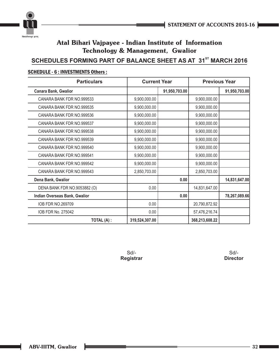



### **SCHEDULES FORMING PART OF BALANCE SHEET AS AT 31<sup>st</sup> MARCH 2016**

### SCHEDULE - 6 : INVESTMENTS Others :

| <b>Particulars</b>            | <b>Current Year</b> |               | <b>Previous Year</b> |               |
|-------------------------------|---------------------|---------------|----------------------|---------------|
| <b>Canara Bank, Gwalior</b>   |                     | 91,950,703.00 |                      | 91,950,703.00 |
| CANARA BANK FDR NO.999533     | 9,900,000.00        |               | 9,900,000.00         |               |
| CANARA BANK FDR NO.999535     | 9,900,000.00        |               | 9,900,000.00         |               |
| CANARA BANK FDR NO.999536     | 9,900,000.00        |               | 9,900,000.00         |               |
| CANARA BANK FDR NO.999537     | 9,900,000.00        |               | 9,900,000.00         |               |
| CANARA BANK FDR NO.999538     | 9,900,000.00        |               | 9,900,000.00         |               |
| CANARA BANK FDR NO.999539     | 9,900,000.00        |               | 9,900,000.00         |               |
| CANARA BANK FDR NO.999540     | 9,900,000.00        |               | 9,900,000.00         |               |
| CANARA BANK FDR NO.999541     | 9,900,000.00        |               | 9,900,000.00         |               |
| CANARA BANK FDR NO.999542     | 9,900,000.00        |               | 9,900,000.00         |               |
| CANARA BANK FDR NO.999543     | 2,850,703.00        |               | 2,850,703.00         |               |
| Dena Bank, Gwalior            |                     | 0.00          |                      | 14,831,647.00 |
| DENA BANK FDR NO.9053882 (O)  | 0.00                |               | 14,831,647.00        |               |
| Indian Overseas Bank, Gwalior |                     | 0.00          |                      | 78,267,089.66 |
| IOB FDR NO.269709             | 0.00                |               | 20,790,872.92        |               |
| IOB FDR No. 275042            | 0.00                |               | 57,476,216.74        |               |
| TOTAL (A) :                   | 319,524,307.00      |               | 368,213,608.22       |               |

Sd/- **Registrar**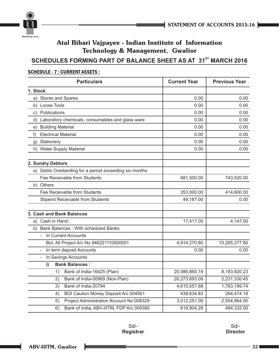

### **SCHEDULES FORMING PART OF BALANCE SHEET AS AT 31<sup>st</sup> MARCH 2016**

### SCHEDULE - 7 : CURRENT ASSETS :

| <b>Particulars</b>                                     | <b>Current Year</b> | <b>Previous Year</b> |
|--------------------------------------------------------|---------------------|----------------------|
| 1. Stock                                               |                     |                      |
| a) Stores and Spares                                   | 0.00                | 0.00                 |
| Loose Tools<br>b)                                      | 0.00                | 0.00                 |
| Publications<br>C)                                     | 0.00                | 0.00                 |
| d) Laboratory chemicals, consumables and glass ware    | 0.00                | 0.00                 |
| <b>Building Material</b><br>e)                         | 0.00                | 0.00                 |
| <b>Electrical Material</b><br>f)                       | 0.00                | 0.00                 |
| g) Stationery                                          | 0.00                | 0.00                 |
| h) Water Supply Material                               | 0.00                | 0.00                 |
| 2. Sundry Debtors                                      |                     |                      |
| a) Debts Outstanding for a period exceeding six months |                     |                      |
| Fee Receivable from Students                           | 881,500.00          | 743,520.00           |
| b) Others                                              |                     |                      |
| Fee Receivable from Students                           | 353,000.00          | 414,600.00           |
| <b>Stipend Receivable from Students</b>                | 49,187.00           | 0.00                 |
| 3. Cash and Bank Balances                              |                     |                      |
| a) Cash in Hand:                                       | 17,417.00           | 4,147.00             |
| b) Bank Balances: With scheduled Banks                 |                     |                      |
| In Current Accounts<br>$\overline{a}$                  |                     |                      |
| Bol, All Project A/c No.946221110000001                | 4,914,270.80        | 10,265,377.80        |
| In term deposit Accounts<br>$\blacksquare$             | 0.00                | 0.00                 |
| In Savings Accounts<br>$\overline{\phantom{a}}$        |                     |                      |
| i)<br><b>Bank Balances:</b>                            |                     |                      |
| 1)<br>Bank of India-16425 (Plan)                       | 20,086,860.19       | 8,183,920.23         |
| Bank of India-00969 (Non-Plan)<br>2)                   | 26,273,693.09       | 2,231,330.45         |
| Bank of India-20794<br>3)                              | 4,615,557.68        | 1,783,199.74         |
| BOI Caution Money Deposit A/c 004561<br>4)             | 438,634.83          | 264,474.18           |
| Project Administration Account No.008329<br>5)         | 3,012,251.00        | 2,504,964.00         |
| Bank of India, ABV-IIITM, FDP A/c 009380<br>6)         | 619,904.28          | 484,332.00           |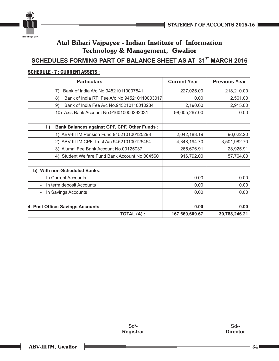



### **SCHEDULES FORMING PART OF BALANCE SHEET AS AT 31<sup>st</sup> MARCH 2016**

| <b>Particulars</b>                                         | <b>Current Year</b> | <b>Previous Year</b> |
|------------------------------------------------------------|---------------------|----------------------|
| Bank of India A/c No.945210110007841<br>7)                 | 227,025.00          | 218,210.00           |
| Bank of India RTI Fee A/c No.945210110003017<br>8)         | 0.00                | 2,561.00             |
| Bank of India Fee A/c No.945210110010234<br>9)             | 2,190.00            | 2,915.00             |
| 10) Axis Bank Account No.916010006292031                   | 98,605,267.00       | 0.00                 |
| ii)<br><b>Bank Balances against GPF, CPF, Other Funds:</b> |                     |                      |
| 1) ABV-IIITM Pension Fund 945210100125293                  | 2,042,188.19        | 96,022.20            |
| 2) ABV-IIITM CPF Trust A/c 945210100125454                 | 4,348,194.70        | 3,501,982.70         |
| 3) Alumni Fee Bank Account No.00125037                     | 265,676.91          | 28,925.91            |
| Student Welfare Fund Bank Account No.004560<br>4)          | 916,792.00          | 57,764.00            |
| b) With non-Scheduled Banks:                               |                     |                      |
| In Current Accounts                                        | 0.00                | 0.00                 |
| In term deposit Accounts                                   | 0.00                | 0.00                 |
| In Savings Accounts                                        | 0.00                | 0.00                 |
| 4. Post Office- Savings Accounts                           | 0.00                | 0.00                 |
| <b>TOTAL (A):</b>                                          | 167,669,609.67      | 30,788,246.21        |

### SCHEDULE - 7 : CURRENT ASSETS :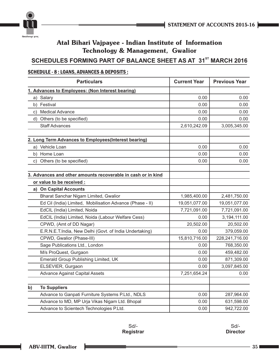



### **SCHEDULES FORMING PART OF BALANCE SHEET AS AT 31<sup>st</sup> MARCH 2016**

### SCHEDULE - 8 : LOANS, ADVANCES & DEPOSITS :

| <b>Particulars</b>                                           | <b>Current Year</b> | <b>Previous Year</b> |
|--------------------------------------------------------------|---------------------|----------------------|
| 1. Advances to Employees: (Non Interest bearing)             |                     |                      |
| Salary<br>a)                                                 | 0.00                | 0.00                 |
| b) Festival                                                  | 0.00                | 0.00                 |
| <b>Medical Advance</b><br>C)                                 | 0.00                | 0.00                 |
| d)<br>Others (to be specified)                               | 0.00                | 0.00                 |
| <b>Staff Advances</b>                                        | 2,610,242.09        | 3,005,345.00         |
| 2. Long Term Advances to Employees(Interest bearing)         |                     |                      |
| Vehicle Loan<br>a)                                           | 0.00                | 0.00                 |
| b) Home Loan                                                 | 0.00                | 0.00                 |
| Others (to be specified)<br>C)                               | 0.00                | 0.00                 |
| 3. Advances and other amounts recoverable in cash or in kind |                     |                      |
| or value to be received :                                    |                     |                      |
| a) On Capital Accounts                                       |                     |                      |
| Bharat Sanchar Nigam Limited, Gwalior                        | 1,985,400.00        | 2,481,750.00         |
| Ed Cil (India) Limited, Mobilisation Advance (Phase - II)    | 19,051,077.00       | 19,051,077.00        |
| EdCIL (India) Limited, Noida                                 | 7,721,091.00        | 7,721,091.00         |
| EdCIL (India) Limited, Noida (Labour Welfare Cess)           | 0.00                | 3,194,111.00         |
| CPWD, (Amt of DD Nagar)                                      | 20,502.00           | 20,502.00            |
| E.R.N.E.T.India, New Delhi (Govt. of India Undertaking)      | 0.00                | 379,059.00           |
| CPWD, Gwalior (Phase-III)                                    | 15,810,716.00       | 228,241,716.00       |
| Sage Publications Ltd., London                               | 0.00                | 768,350.00           |
| M/s ProQuest, Gurgaon                                        | 0.00                | 459,482.00           |
| Emerald Group Publishing Limited, UK                         | 0.00                | 871,309.00           |
| ELSEVIER, Gurgaon                                            | 0.00                | 3,097,845.00         |
| <b>Advance Against Capital Assets</b>                        | 7,251,654.24        | 0.00                 |
| <b>To Suppliers</b><br>$\mathbf{b}$                          |                     |                      |
| Advance to Ganpati Furniture Systems P.Ltd., NDLS            | 0.00                | 287,964.00           |
| Advance to MD, MP Urja Vikas Nigam Ltd. Bhopal               | 0.00                | 631,598.00           |
| Advance to Scientech Technologies P.Ltd.                     | 0.00                | 942,722.00           |

Sd/- **Registrar**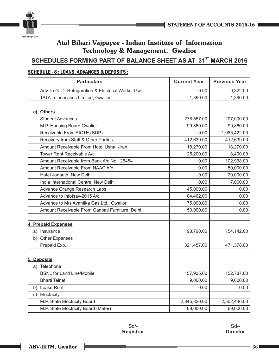



### **SCHEDULES FORMING PART OF BALANCE SHEET AS AT 31<sup>st</sup> MARCH 2016**

### SCHEDULE - 8 : LOANS, ADVANCES & DEPOSITS :

| <b>Particulars</b>                                  | <b>Current Year</b> | <b>Previous Year</b> |
|-----------------------------------------------------|---------------------|----------------------|
| Adv. to G. D. Refrigeration & Electrical Works, Gwl | 0.00                | 9,322.00             |
| TATA Teleservices Limited, Gwalior                  | 1,390.00            | 1,390.00             |
|                                                     |                     |                      |
| <b>Others</b><br>C)                                 |                     |                      |
| <b>Student Advances</b>                             | 278,557.00          | 207,000.00           |
| M.P. Housing Board Gwalior                          | 99,860.00           | 99,860.00            |
| Receivable From AICTE (SDP)                         | 0.00                | 1,985,422.00         |
| Recovery from Staff & Other Parties                 | 412,639.00          | 412,639.00           |
| Amount Receivable From Hotel Usha Kiran             | 18,270.00           | 18,270.00            |
| Tower Rent Receivable A/c                           | 25,200.00           | 8,400.00             |
| Amount Receivable from Bank A/c No.125454           | 0.00                | 102,938.00           |
| Amount Receivable From NAAC A/c                     | 0.00                | 50,000.00            |
| Hotel Janpath, New Delhi                            | 0.00                | 20,000.00            |
| India International Centre, New Delhi               | 0.00                | 7,000.00             |
| Advance Orange Research Labs                        | 45,000.00           | 0.00                 |
| Advance to Infotsav-2015 A/c                        | 84,462.00           | 0.00                 |
| Advance to M/s Avantika Gas Ltd., Gwalior           | 75,000.00           | 0.00                 |
| Amount Receivable From Ganpati Furniture, Delhi     | 50,000.00           | 0.00                 |
| 4. Prepaid Expenses                                 |                     |                      |
| a) Insurance                                        | 198,790.00          | 154,142.00           |
| b) Other Expenses                                   |                     |                      |
| Prepaid Exp.                                        | 321,457.00          | 471,378.00           |
| 5. Deposits                                         |                     |                      |
| a) Telephone                                        |                     |                      |
| <b>BSNL for Land Line/Mobile</b>                    | 157,935.00          | 152,787.00           |
| <b>Bharti Telnet</b>                                | 9,000.00            | 9,000.00             |
| b) Lease Rent                                       | 0.00                | 0.00                 |
| c) Electricity                                      |                     |                      |
| M.P. State Electricity Board                        | 2,845,826.00        | 2,502,440.00         |
| M.P. State Electricity Board (Meter)                | 69,000.00           | 69,000.00            |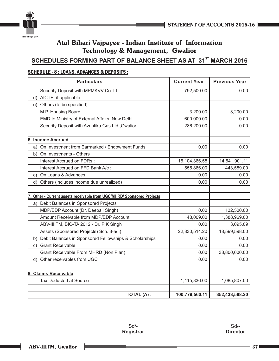



### **SCHEDULES FORMING PART OF BALANCE SHEET AS AT 31<sup>st</sup> MARCH 2016**

### SCHEDULE - 8 : LOANS, ADVANCES & DEPOSITS :

| <b>Particulars</b>                                                     | <b>Current Year</b> | <b>Previous Year</b> |
|------------------------------------------------------------------------|---------------------|----------------------|
| Security Deposit with MPMKVV Co. Lt.                                   | 792,500.00          | 0.00                 |
| d) AICTE, if applicable                                                |                     |                      |
| Others (to be specified)<br>e).                                        |                     |                      |
| M.P. Housing Board                                                     | 3,200.00            | 3,200.00             |
| EMD to Ministry of External Affairs, New Delhi                         | 600,000.00          | 0.00                 |
| Security Deposit with Avantika Gas Ltd., Gwalior                       | 286,200.00          | 0.00                 |
| <b>6. Income Accrued</b>                                               |                     |                      |
| On Investment from Earmarked / Endowment Funds<br>a)                   | 0.00                | 0.00                 |
| On Investments - Others<br>b)                                          |                     |                      |
| Interest Accrued on FDRs :                                             | 15,104,366.58       | 14,541,901.11        |
| Interest Accrued on FFD Bank A/c :                                     | 555,866.00          | 443,589.00           |
| On Loans & Advances<br>C)                                              | 0.00                | 0.00                 |
| d)<br>Others (includes income due unrealized)                          | 0.00                | 0.00                 |
|                                                                        |                     |                      |
| 7. Other - Current assets receivable from UGC/MHRD/ Sponsored Projects |                     |                      |
| a) Debit Balances in Sponsored Projects                                |                     |                      |
| MDP/EDP Account (Dr. Deepali Singh)                                    | 0.00                | 132,500.00           |
| Amount Receivable from MDP/EDP Account                                 | 48,009.00           | 1,388,969.00         |
| ABV-IIIITM, BIC-TA 2012 - Dr. P K Singh                                | 0.00                | 3,095.09             |
| Assets (Sponsored Projects) Sch. 3-a(ii)                               | 22,830,514.20       | 18,599,598.00        |
| Debit Balances in Sponsored Fellowships & Scholarships<br>b)           | 0.00                | 0.00                 |
| <b>Grant Receivable</b><br>C)                                          | 0.00                | 0.00                 |
| Grant Receivable From MHRD (Non Plan)                                  | 0.00                | 38,800,000.00        |
| d) Other receivables from UGC                                          | 0.00                | 0.00                 |
| 8. Claims Receivable                                                   |                     |                      |
| <b>Tax Deducted at Source</b>                                          | 1,415,836.00        | 1,085,807.00         |
| <b>TOTAL (A):</b>                                                      | 100,779,560.11      | 352,433,568.20       |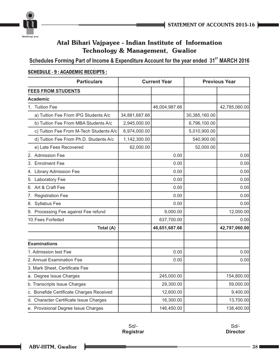



Schedules Forming Part of Income & Expenditure Account for the year ended 31<sup>st</sup> MARCH 2016

### SCHEDULE - 9 : ACADEMIC RECEIPTS :

| <b>Particulars</b>                       |               | <b>Current Year</b> |               | <b>Previous Year</b> |
|------------------------------------------|---------------|---------------------|---------------|----------------------|
| <b>FEES FROM STUDENTS</b>                |               |                     |               |                      |
| <b>Academic</b>                          |               |                     |               |                      |
| 1. Tuition Fee                           |               | 46,004,987.66       |               | 42,785,060.00        |
| a) Tuition Fee From IPG Students A/c     | 34,881,687.66 |                     | 30,385,160.00 |                      |
| b) Tuition Fee From MBA Students A/c     | 2,945,000.00  |                     | 6,796,100.00  |                      |
| c) Tuition Fee From M-Tech Students A/c  | 6,974,000.00  |                     | 5,010,900.00  |                      |
| d) Tuition Fee From Ph.D. Students A/c   | 1,142,300.00  |                     | 540,900.00    |                      |
| e) Late Fees Recovered                   | 62,000.00     |                     | 52,000.00     |                      |
| 2. Admission Fee                         |               | 0.00                |               | 0.00                 |
| 3. Enrolment Fee                         |               | 0.00                |               | 0.00                 |
| 4. Library Admission Fee                 |               | 0.00                |               | 0.00                 |
| 5. Laboratory Fee                        |               | 0.00                |               | 0.00                 |
| 6. Art & Craft Fee                       |               | 0.00                |               | 0.00                 |
| 7. Registration Fee                      |               | 0.00                |               | 0.00                 |
| 8. Syllabus Fee                          |               | 0.00                |               | 0.00                 |
| 9. Processing Fee against Fee refund     |               | 9,000.00            |               | 12,000.00            |
| 10. Fees Forfeited                       |               | 637,700.00          |               | 0.00                 |
| Total (A)                                |               | 46,651,687.66       |               | 42,797,060.00        |
| <b>Examinations</b>                      |               |                     |               |                      |
| 1. Admission test Fee                    |               | 0.00                |               | 0.00                 |
| 2. Annual Examination Fee                |               | 0.00                |               | 0.00                 |
| 3. Mark Sheet, Certificate Fee           |               |                     |               |                      |
| a. Degree Issue Charges                  |               | 245,000.00          |               | 154,800.00           |
| b. Transcripts Issue Charges             |               | 29,300.00           |               | 59,000.00            |
| c. Bonafide Certificate Charges Received |               | 12,600.00           |               | 9,400.00             |
| d. Character Certificate Issue Charges   |               | 16,300.00           |               | 13,700.00            |
| e. Provisional Degree Issue Charges      |               | 146,450.00          |               | 138,400.00           |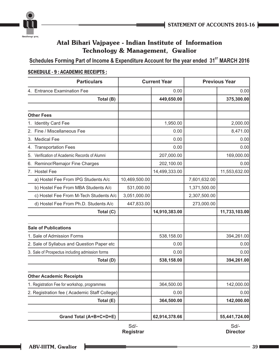

Schedules Forming Part of Income & Expenditure Account for the year ended 31<sup>st</sup> MARCH 2016

### SCHEDULE - 9 : ACADEMIC RECEIPTS :

| <b>Particulars</b>                                                                           |               | <b>Current Year</b> |              | <b>Previous Year</b> |
|----------------------------------------------------------------------------------------------|---------------|---------------------|--------------|----------------------|
| <b>Entrance Examination Fee</b>                                                              |               | 0.00                |              | 0.00                 |
| Total (B)                                                                                    |               | 449,650.00          |              | 375,300.00           |
|                                                                                              |               |                     |              |                      |
| <b>Other Fees</b>                                                                            |               |                     |              |                      |
| 1. Identity Card Fee                                                                         |               | 1,950.00            |              | 2,000.00             |
| 2. Fine / Miscellaneous Fee                                                                  |               | 0.00                |              | 8,471.00             |
| 3. Medical Fee                                                                               |               | 0.00                |              | 0.00                 |
| 4. Transportation Fees                                                                       |               | 0.00                |              | 0.00                 |
| Verification of Academic Records of Alumni<br>5.                                             |               | 207,000.00          |              | 169,000.00           |
| 6. Reminor/Remajor Fine Charges                                                              |               | 202,100.00          |              | 0.00                 |
| 7. Hostel Fee                                                                                |               | 14,499,333.00       |              | 11,553,632.00        |
| a) Hostel Fee From IPG Students A/c                                                          | 10,469,500.00 |                     | 7,601,632.00 |                      |
| b) Hostel Fee From MBA Students A/c                                                          | 531,000.00    |                     | 1,371,500.00 |                      |
| c) Hostel Fee From M-Tech Students A/c                                                       | 3,051,000.00  |                     | 2,307,500.00 |                      |
| d) Hostel Fee From Ph.D. Students A/c                                                        | 447,833.00    |                     | 273,000.00   |                      |
| Total (C)                                                                                    |               | 14,910,383.00       |              | 11,733,103.00        |
| <b>Sale of Publications</b>                                                                  |               |                     |              |                      |
| 1. Sale of Admission Forms                                                                   |               | 538,158.00          |              | 394,261.00           |
| 2. Sale of Syllabus and Question Paper etc                                                   |               | 0.00                |              | 0.00                 |
| 3. Sale of Prospectus including admission forms                                              |               | 0.00                |              | 0.00                 |
| Total (D)                                                                                    |               | 538,158.00          |              | 394,261.00           |
| <b>Other Academic Receipts</b>                                                               |               |                     |              |                      |
|                                                                                              |               | 364,500.00          |              |                      |
| 1. Registration Fee for workshop, programmes<br>2. Registration fee (Academic Staff College) |               | 0.00                |              | 142,000.00<br>0.00   |
| Total (E)                                                                                    |               | 364,500.00          |              | 142,000.00           |
|                                                                                              |               |                     |              |                      |
| Grand Total (A+B+C+D+E)                                                                      |               | 62,914,378.66       |              | 55,441,724.00        |

Sd/- **Registrar**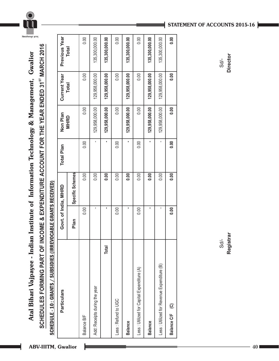

SCHEDULES FORMING PART OF INCOME & EXPENDITURE ACCOUNT FOR THE YEAR ENDED 31<sup>ST</sup> MARCH 2016 **ST SCHEDULES FORMING PART OF INCOME & EXPENDITURE ACCOUNT FOR THE YEAR ENDED 31 MARCH 2016** Atal Bihari Vajpayee - Indian Institute of Information Technology & Management, Gwalior **Atal Bihari Vajpayee - Indian Institute of Information Technology & Management, Gwalior**

SCHEDULE - 10 : GRANTS / SUBSIDIES (IRREVOCABLE GRANTS RECEIVED) SCHEDULE - 10 : GRANTS / SUBSIDIES (IRREVOCABLE GRANTS RECEIVED)

| <b>Particulars</b>                         | Govt. of India, MHRD |                  | Total Plan | Non Plan       | <b>Current Year</b> | Previous Year  |
|--------------------------------------------|----------------------|------------------|------------|----------------|---------------------|----------------|
|                                            | Plan                 | Specific Schemes |            | <b>MHRD</b>    | Total               | Total          |
| Balance B/F                                | 0.00                 | 0.00             | 0.00       | 0.00           | 0.00                | 0.00           |
| Add: Receipts during the year              | ٠                    | 0.00             | ı          | 129,958,000.00 | 129,958,000.00      | 135,300,000.00 |
| Total                                      | ٠                    | 0.00             |            | 129,958,000.00 | 129,958,000.00      | 135,300,000.00 |
| Less : Refund to UGC                       | 0.00                 | 0.00             | 0.00       | 0.00           | 0.00                | 0.00           |
| <b>Balance</b>                             |                      | 0.00             |            | 129,958,000.00 | 129,958,000.00      | 135,300,000.00 |
| Less: Utilized for Capital Expenditure (A) | 0.00                 | 0.00             | 0.00       | 0.00           | 0.00                | 0.00           |
| <b>Balance</b>                             | ٠                    | 0.00             |            | 129,958,000.00 | 129,958,000.00      | 135,300,000.00 |
| Less: Utilized for Revenue Expenditure (B) | ı                    | 0.00             |            | 129,958,000.00 | 129,958,000.00      | 135,300,000.00 |
| Balance C/F (C)                            | 0.00                 | 0.00             | 0.00       | 0.00           | 0.00                | 0.00           |
|                                            |                      |                  |            |                |                     |                |

### **STATEMENT OF ACCOUNTS 2015-16**

**Director**  $Sd$ -

Sd/- **Registrar** Sd/- **Director** Registrar  $Sd$ -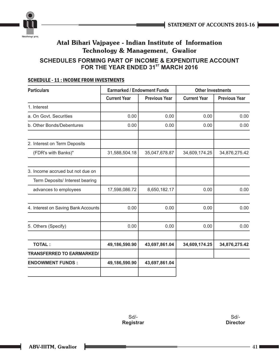

### **SCHEDULES FORMING PART OF INCOME & EXPENDITURE ACCOUNT FOR THE YEAR ENDED 31<sup>st</sup> MARCH 2016**

| <b>Particulars</b>                  | <b>Earmarked / Endowment Funds</b> |                      | <b>Other Investments</b> |                      |
|-------------------------------------|------------------------------------|----------------------|--------------------------|----------------------|
|                                     | <b>Current Year</b>                | <b>Previous Year</b> | <b>Current Year</b>      | <b>Previous Year</b> |
| 1. Interest                         |                                    |                      |                          |                      |
| a. On Govt. Securities              | 0.00                               | 0.00                 | 0.00                     | 0.00                 |
| b. Other Bonds/Debentures           | 0.00                               | 0.00                 | 0.00                     | 0.00                 |
| 2. Interest on Term Deposits        |                                    |                      |                          |                      |
| (FDR's with Banks)"                 | 31,588,504.18                      | 35,047,678.87        | 34,609,174.25            | 34,876,275.42        |
| 3. Income accrued but not due on    |                                    |                      |                          |                      |
| Term Deposits/ Interest bearing     |                                    |                      |                          |                      |
| advances to employees               | 17,598,086.72                      | 8,650,182.17         | 0.00                     | 0.00                 |
| 4. Interest on Saving Bank Accounts | 0.00                               | 0.00                 | 0.00                     | 0.00                 |
| 5. Others (Specify)                 | 0.00                               | 0.00                 | 0.00                     | 0.00                 |
| <b>TOTAL:</b>                       | 49,186,590.90                      | 43,697,861.04        | 34,609,174.25            | 34,876,275.42        |
| <b>TRANSFERRED TO EARMARKED/</b>    |                                    |                      |                          |                      |
| <b>ENDOWMENT FUNDS:</b>             | 49,186,590.90                      | 43,697,861.04        |                          |                      |
|                                     |                                    |                      |                          |                      |

### SCHEDULE - 11 : INCOME FROM INVESTMENTS

Sd/- **Registrar**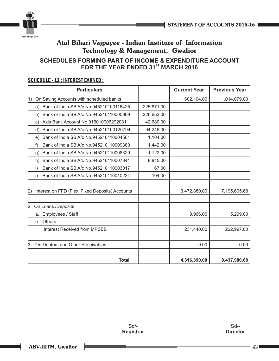



### **SCHEDULES FORMING PART OF INCOME & EXPENDITURE ACCOUNT FOR THE YEAR ENDED 31<sup>st</sup> MARCH 2016**

| <b>Particulars</b>                                        |            | <b>Current Year</b> | <b>Previous Year</b> |
|-----------------------------------------------------------|------------|---------------------|----------------------|
| On Saving Accounts with scheduled banks<br>1)             |            | 602,104.00          | 1,014,079.00         |
| Bank of India SB A/c No.945210100116425<br>a)             | 225,871.00 |                     |                      |
| Bank of India SB A/c No.945210110000969<br>b)             | 226,653.00 |                     |                      |
| Axis Bank Account No.916010006292031<br>C)                | 42,680.00  |                     |                      |
| Bank of India SB A/c No.945210100120794<br>d)             | 94,246.00  |                     |                      |
| Bank of India SB A/c No.945210110004561<br>e)             | 1,104.00   |                     |                      |
| Bank of India SB A/c No.945210110009380<br>f)             | 1,442.00   |                     |                      |
| Bank of India SB A/c No.945210110008329<br>$\mathfrak{g}$ | 1,122.00   |                     |                      |
| Bank of India SB A/c No.945210110007841<br>h)             | 8,815.00   |                     |                      |
| Bank of India SB A/c No.945210110003017<br>i)             | 67.00      |                     |                      |
| Bank of India SB A/c No.945210110010234<br>j)             | 104.00     |                     |                      |
| 2)<br>Interest on FFD (Flexi Fixed Deposits) Accounts     |            | 3,472,880.00        | 7,195,605.68         |
| 2. On Loans /Deposits                                     |            |                     |                      |
| Employees / Staff<br>a.                                   |            | 9,966.00            | 5,299.00             |
| b. Others                                                 |            |                     |                      |
| <b>Interest Received from MPSEB</b>                       |            | 231,440.00          | 222,997.00           |
| On Debtors and Other Receivables                          |            | 0.00                | 0.00                 |
| <b>Total</b>                                              |            | 4,316,390.00        | 8,437,980.68         |

### SCHEDULE - 12 : INTEREST EARNED :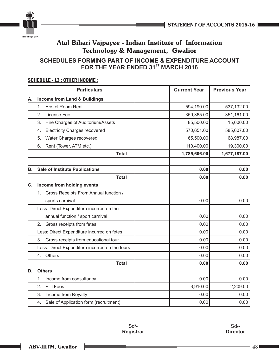

### **SCHEDULES FORMING PART OF INCOME & EXPENDITURE ACCOUNT FOR THE YEAR ENDED 31<sup>st</sup> MARCH 2016**

### SCHEDULE - 13 : OTHER INCOME :

|    |         | <b>Particulars</b>                             | <b>Current Year</b> | <b>Previous Year</b> |
|----|---------|------------------------------------------------|---------------------|----------------------|
| Α. |         | <b>Income from Land &amp; Buildings</b>        |                     |                      |
|    | 1.      | Hostel Room Rent                               | 594,190.00          | 537,132.00           |
|    | 2.      | License Fee                                    | 359,365.00          | 351,161.00           |
|    | 3.      | Hire Charges of Auditorium/Assets              | 85,500.00           | 15,000.00            |
|    | 4.      | <b>Electricity Charges recovered</b>           | 570,651.00          | 585,607.00           |
|    | 5.      | Water Charges recovered                        | 65,500.00           | 68,987.00            |
|    | 6.      | Rent (Tower, ATM etc.)                         | 110,400.00          | 119,300.00           |
|    |         | <b>Total</b>                                   | 1,785,606.00        | 1,677,187.00         |
| В. |         | <b>Sale of Institute Publications</b>          | 0.00                | 0.00                 |
|    |         | <b>Total</b>                                   | 0.00                | 0.00                 |
| C. |         | Income from holding events                     |                     |                      |
|    | $1_{-}$ | Gross Receipts From Annual function /          |                     |                      |
|    |         | sports carnival                                | 0.00                | 0.00                 |
|    |         | Less: Direct Expenditure incurred on the       |                     |                      |
|    |         | annual function / sport carnival               | 0.00                | 0.00                 |
|    | 2.      | Gross receipts from fetes                      | 0.00                | 0.00                 |
|    |         | Less: Direct Expenditure incurred on fetes     | 0.00                | 0.00                 |
|    | 3.      | Gross receipts from educational tour           | 0.00                | 0.00                 |
|    |         | Less: Direct Expenditure incurred on the tours | 0.00                | 0.00                 |
|    | 4.      | Others                                         | 0.00                | 0.00                 |
|    |         | <b>Total</b>                                   | 0.00                | 0.00                 |
| D. |         | <b>Others</b>                                  |                     |                      |
|    | 1.      | Income from consultancy                        | 0.00                | 0.00                 |
|    | 2.      | <b>RTI Fees</b>                                | 3,910.00            | 2,209.00             |
|    | 3.      | Income from Royalty                            | 0.00                | 0.00                 |
|    | 4.      | Sale of Application form (recruitment)         | 0.00                | 0.00                 |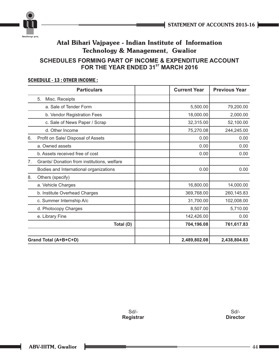



### **SCHEDULES FORMING PART OF INCOME & EXPENDITURE ACCOUNT FOR THE YEAR ENDED 31<sup>st</sup> MARCH 2016**

### SCHEDULE - 13 : OTHER INCOME :

|    | <b>Particulars</b>                          | <b>Current Year</b> | <b>Previous Year</b> |
|----|---------------------------------------------|---------------------|----------------------|
|    | 5.<br>Misc. Receipts                        |                     |                      |
|    | a. Sale of Tender Form                      | 5,500.00            | 79,200.00            |
|    | b. Vendor Registration Fees                 | 18,000.00           | 2,000.00             |
|    | c. Sale of News Paper / Scrap               | 32,315.00           | 52,100.00            |
|    | d. Other Income                             | 75,270.08           | 244,245.00           |
| 6. | Profit on Sale/ Disposal of Assets          | 0.00                | 0.00                 |
|    | a. Owned assets                             | 0.00                | 0.00                 |
|    | b. Assets received free of cost             | 0.00                | 0.00                 |
| 7. | Grants/ Donation from institutions, welfare |                     |                      |
|    | Bodies and International organizations      | 0.00                | 0.00                 |
| 8. | Others (specify)                            |                     |                      |
|    | a. Vehicle Charges                          | 16,800.00           | 14,000.00            |
|    | b. Institute Overhead Charges               | 369,768.00          | 260,145.83           |
|    | c. Summer Internship A/c                    | 31,700.00           | 102,008.00           |
|    | d. Photocopy Charges                        | 8,507.00            | 5,710.00             |
|    | e. Library Fine                             | 142,426.00          | 0.00                 |
|    | Total (D)                                   | 704,196.08          | 761,617.83           |
|    | Grand Total (A+B+C+D)                       | 2,489,802.08        | 2,438,804.83         |

Sd/- **Registrar**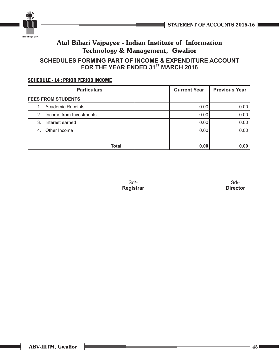

### **SCHEDULES FORMING PART OF INCOME & EXPENDITURE ACCOUNT FOR THE YEAR ENDED 31<sup>ST</sup> MARCH 2016**

### SCHEDULE - 14 : PRIOR PERIOD INCOME

|    | <b>Particulars</b>        | <b>Current Year</b> | <b>Previous Year</b> |
|----|---------------------------|---------------------|----------------------|
|    | <b>FEES FROM STUDENTS</b> |                     |                      |
|    | 1. Academic Receipts      | 0.00                | 0.00                 |
| 2. | Income from Investments   | 0.00                | 0.00                 |
| 3. | Interest earned           | 0.00                | 0.00                 |
|    | 4. Other Income           | 0.00                | 0.00                 |
|    |                           |                     |                      |
|    | Total                     | 0.00                | 0.00                 |

Sd/- **Registrar**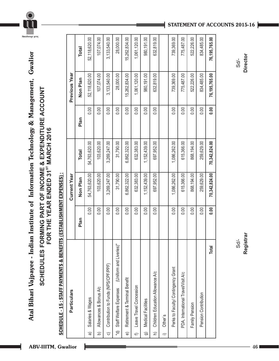

## **SCHEDULES FORMING PART OF INCOME & EXPENDITURE ACCOUNT**  SCHEDULES FORMING PART OF INCOME & EXPENDITURE ACCOUNT<br>FOR THE YEAR ENDED 31<sup>st</sup> MARCH 2016 **ST FOR THE YEAR ENDED 31 MARCH 2016**

## SCHEDULE - 15 : STAFF PAYMENTS & BENEFITS (ESTABLISHMENT EXPENSES) : SCHEDULE - 15 : STAFF PAYMENTS & BENEFITS (ESTABLISHMENT EXPENSES) :

|                         | <b>Particulars</b>                                |      | <b>Current Year</b> |               |      | <b>Previous Year</b> |               |
|-------------------------|---------------------------------------------------|------|---------------------|---------------|------|----------------------|---------------|
|                         |                                                   | Plan | Non Plan            | <b>Total</b>  | Plan | Non Plan             | Total         |
| କ                       | Salaries & Wages                                  | 0.00 | 54,763,620.00       | 54,763,620.00 | 0.00 | 52, 118, 620.00      | 52,118,620.00 |
| b                       | Allowances & Bonus A/c                            | 0.00 | 103,620.00          | 103,620.00    | 0.00 | 107,074.00           | 107,074.00    |
| $\widehat{\circ}$       | Contribution to Funds (NPS/CPF/PPF)               | 0.00 | 3,269,247.00        | 3,269,247.00  | 0.00 | 3,133,540.00         | 3,133,540.00  |
| $\widehat{\mathcal{P}}$ | (Uniform and Liveries)"<br>Staff Welfare Expenses | 0.00 | 31,790.00           | 31,790.00     | 0.00 | 28,000.00            | 28,000.00     |
| $\widehat{\Phi}$        | Retirement & Terminal Benefit                     | 0.00 | 6,862,322.00        | 6,862,322.00  | 0.00 | 15,262,834.00        | 15,262,834.00 |
| ⇐                       | Leave Travel Concession                           | 0.00 | 632,383.00          | 632,383.00    | 0.00 | 1,061,120.00         | 1,061,120.00  |
| ම                       | Medical Facilities                                | 0.00 | 1,152,439.00        | 1,152,439.00  | 0.00 | 980,191.00           | 980, 191.00   |
| $\widehat{=}$           | Children Education Allowance A/c                  | 0.00 | 697,952.00          | 697,952.00    | 0.00 | 632,819.00           | 632,819.00    |
| $\widehat{=}$           | Other's                                           |      |                     |               |      |                      |               |
|                         | Perks to Faculty/ Contingency Grant               | 0.00 | 1,086,262.00        | 1,086,262.00  | 0.00 | 739,369.00           | 739,369.00    |
|                         | PDA, International Travel/Visit A/c               | 0.00 | 615,366.00          | 615,366.00    | 0.00 | 775,487.00           | 775,487.00    |
|                         | Family Pension                                    | 0.00 | 868,194.00          | 868,194.00    | 0.00 | 522,226.00           | 522,226.00    |
|                         | Pension Contribution                              | 0.00 | 259,629.00          | 259,629.00    | 0.00 | 834,485.00           | 834,485.00    |
|                         | <b>Total</b>                                      | 0.00 | 70,342,824.00       | 70,342,824.00 | 0.00 | 76,195,765.00        | 76,195,765.00 |
|                         |                                                   |      |                     |               |      |                      |               |

### **STATEMENT OF ACCOUNTS 2015-16**

Sd/- **Director**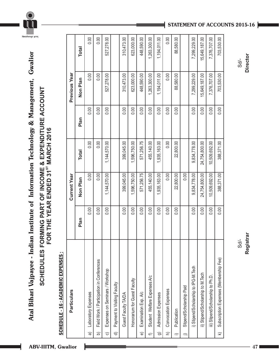

## **SCHEDULES FORMING PART OF INCOME & EXPENDITURE ACCOUNT SCHEDULES FORMING PART OF INCOME & EXPENDITURE ACCOUNT<br>FOR THE YEAR ENDED 31<sup>8T</sup> MARCH 2016 ST FOR THE YEAR ENDED 31 MARCH 2016**

### SCHEDULE - 16 : ACADEMIC EXPENSES : CADEMIC EXPENSES : SCHEDULE - 16 : A

|                        | Particulars                               |      | <b>Current Year</b> |               |      | <b>Previous Year</b> |               |
|------------------------|-------------------------------------------|------|---------------------|---------------|------|----------------------|---------------|
|                        |                                           | Plan | Non Plan            | <b>Total</b>  | Plan | Non Plan             | <b>Total</b>  |
| କ                      | Laboratory Expenses                       | 0.00 | 0.00                | 0.00          | 0.00 | 0.00                 | 0.00          |
| $\widehat{\mathbf{d}}$ | Field Work / Participation in Conferences | 0.00 | 0.00                | 0.00          | 0.00 | 0.00                 | 0.00          |
| $\widehat{\circ}$      | Expenses on Seminars / Workshop           | 0.00 | 1,144,570.00        | 1,144,570.00  | 0.00 | 527,278.00           | 527,278.00    |
| $\widehat{\sigma}$     | Payment to Visiting Faculty               |      |                     |               |      |                      |               |
|                        | Guest Faculty TA/DA                       | 0.00 | 399,045.00          | 399,045.00    | 0.00 | 310,473.00           | 310,473.00    |
|                        | Honorarium for Guest Faculty              | 0.00 | 1,596,750.00        | 1,596,750.00  | 0.00 | 623,000.00           | 623,000.00    |
| $\widehat{\Phi}$       | Examination Exp. A/c                      | 0.00 | 571,256.75          | 571,256.75    | 0.00 | 448,590.00           | 448,590.00    |
| ¢                      | Student Welfare Expenses A/c              | 0.00 | 455,140.00          | 455,140.00    | 0.00 | 1,263,300.00         | 1,263,300.00  |
| ම                      | Admission Expenses                        | 0.00 | 1,935,163.00        | 1,935,163.00  | 0.00 | 1,194,011.00         | 1,194,011.00  |
| $\widehat{=}$          | Convocation Expenses                      | 0.00 | 0.00                | 0.00          | 0.00 | 0.00                 | 0.00          |
| $\equiv$               | Publication                               | 0.00 | 22,800.00           | 22,800.00     | 0.00 | 88,580.00            | 88,580.00     |
| $\hat{}$               | Stipend/Scholarship Paid                  |      | 0.00                |               |      |                      |               |
|                        | i) Stipend/Scholarship to IPG-M.Tech      | 0.00 | 9,834,778.00        | 9,834,778.00  | 0.00 | 7,299,229.00         | 7,299,229.00  |
|                        | ii) Stipend/Scholarship to M.Tech         | 0.00 | 24,754,800.00       | 24,754,800.00 | 0.00 | 15,649,187.00        | 15,649,187.00 |
|                        | iii) Stipend/Scholarship to Ph.D.         | 0.00 | 10,509,692.00       | 10,509,692.00 | 0.00 | 7,376,707.00         | 7,376,707.00  |
| $\widehat{\mathbf{z}}$ | Subscription Expenses (Membership Fee)    | 0.00 | 388,371.00          | 388,371.00    | 0.00 | 703,530.00           | 703,530.00    |

### **STATEMENT OF ACCOUNTS 2015-16**

Sd/- **Director**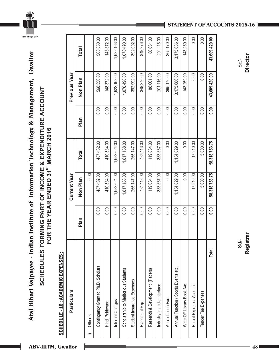

## **SCHEDULES FORMING PART OF INCOME & EXPENDITURE ACCOUNT SCHEDULES FORMING PART OF INCOME & EXPENDITURE ACCOUNT<br>FOR THE YEAR ENDED 31<sup>8T</sup> MARCH 2016 ST FOR THE YEAR ENDED 31 MARCH 2016**

### SCHEDULE - 16 : ACADEMIC EXPENSES : CADEMIC EXPENSES : SCHEDULE - 16 : A

| <b>Particulars</b>                   |      | <b>Current Year</b> |                  |      | <b>Previous Year</b> |               |
|--------------------------------------|------|---------------------|------------------|------|----------------------|---------------|
|                                      | Plan | Non Plan            | <b>Total</b>     | Plan | Non Plan             | Total         |
| Other's                              |      | 0.00                |                  |      |                      |               |
| Contingency Grant to Ph.D. Scholars  | 0.00 | 487,432.00          | 487,432.00       | 0.00 | 568,350.00           | 568,350.00    |
| Hindi Pakhwara                       | 0.00 | 410,534.00          | 410,534.00       | 0.00 | 148,372.00           | 148,372.00    |
| Internet Charges                     | 0.00 | 1,682,624.00        | 1,682,624.00     | 0.00 | 1,622,163.00         | 1,622,163.00  |
| Scholarship to Meritorious Students  | 0.00 | 1,817,168.00        | 1,817,168.00     | 0.00 | 1,070,490.00         | 1,070,490.00  |
| Student Insurance Expenses           | 0.00 | 265, 147.00         | 265,147.00       | 0.00 | 392,992.00           | 392,992.00    |
| Placement Exp.                       | 0.00 | 434,113.00          | 434,113.00       | 0.00 | 349,276.00           | 349,276.00    |
| Research & Development (Papers)      | 0.00 | 119,064.00          | 119,064.00       | 0.00 | 88,661.00            | 88,661.00     |
| Industry Institute Interface         | 0.00 | 333,367.00          | 333,367.00       | 0.00 | 201,116.00           | 201,116.00    |
| Accreditation Fee                    | 0.00 | 0.00                | 0.00             | 0.00 | 365,170.00           | 365,170.00    |
| Annual Function / Sports Events etc. | 0.00 | 1,134,029.00        | 1,134,029.00     | 0.00 | 3,175,686.00         | 3,175,686.00  |
| Write Off Library Book A/c           | 0.00 | 0.00                | 0.00             | 0.00 | 143,259.00           | 143,259.00    |
| Patent Expenses Account              | 0.00 | 17,910.00           | 17,910.00        | 0.00 | 0.00                 | 0.00          |
| Tender Fee Expenses                  | 0.00 | 5,000.00            | 5,000.00         | 0.00 | 0.00                 | 0.00          |
| <b>Total</b>                         | 0.00 | 58, 318, 753. 75    | 58, 318, 753. 75 | 0.00 | 43,609,420.00        | 43,609,420.00 |

### **STATEMENT OF ACCOUNTS 2015-16**

Sd/- **Director**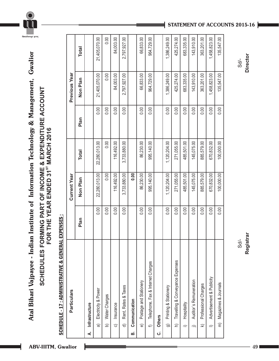

# **SCHEDULES FORMING PART OF INCOME & EXPENDITURE ACCOUNT**

.<br>विश्वजीवनामृतं ज्ञानम्

SCHEDULES FORMING PART OF INCOME & EXPENDITURE ACCOUNT<br>FOR THE YEAR ENDED 31<sup>st</sup> MARCH 2016 **ST FOR THE YEAR ENDED 31 MARCH 2016**

## **SCHEDULE - 17: ADMINISTRATIVE & GENERAL EXPENSES:** SCHEDULE - 17 : ADMINISTRATIVE & GENERAL EXPENSES :

| Particulars                                        |      | <b>Current Year</b> |               |      | Previous Year |               |
|----------------------------------------------------|------|---------------------|---------------|------|---------------|---------------|
|                                                    | Plan | Non Plan            | Total         | Plan | Non Plan      | Total         |
| Infrastructure<br>∢                                |      |                     |               |      |               |               |
| Electricity & Power<br>$\widehat{\sigma}$          | 0.00 | 22,280,013.00       | 22,280,013.00 | 0.00 | 21,405,070.00 | 21,405,070.00 |
| Water Charges<br>6                                 | 0.00 | 0.00                | 0.00          | 0.00 | 0.00          | 0.00          |
| Insurance<br>$\widehat{\circ}$                     | 0.00 | 116,492.00          | 116,492.00    | 0.00 | 84,003.00     | 84,003.00     |
| Rent, Rates & Taxes<br>$\widehat{\sigma}$          | 0.00 | 3,733,880.00        | 3,733,880.00  | 0.00 | 2,797,927.00  | 2,797,927.00  |
| Communication<br>ൎ                                 |      | 0.00                |               |      |               |               |
| Postage and Stationery<br>$\widehat{\Theta}$       | 0.00 | 86,230.00           | 86,230.00     | 0.00 | 66,833.00     | 66,833.00     |
| Telephone, Fax & Internet Charges<br>$\Rightarrow$ | 0.00 | 995,140.00          | 995,140.00    | 0.00 | 964,729.00    | 964,729.00    |
| <b>Others</b><br>.<br>ت                            |      |                     |               |      |               |               |
| Printing & Stationery<br>ම                         | 0.00 | 1,120,204.00        | 1,120,204.00  | 0.00 | 1,386,249.00  | 1,386,249.00  |
| Travelling & Conveyance Expenses<br>$\widehat{z}$  | 0.00 | 271,055.00          | 271,055.00    | 0.00 | 425,274.00    | 425,274.00    |
| Hospitality<br>$\equiv$                            | 0.00 | 485,501.00          | 485,501.00    | 0.00 | 683,335.00    | 683,335.00    |
| Auditor's Remuneration<br>$\hat{=}$                | 0.00 | 145,075.00          | 145,075.00    | 0.00 | 143,910.00    | 143,910.00    |
| Professional Charges<br>$\widehat{\mathbf{z}}$     | 0.00 | 885,579.00          | 885,579.00    | 0.00 | 363,201.00    | 363,201.00    |
| Advertisement & Publicity<br>$\equiv$              | 0.00 | 670,832.00          | 670,832.00    | 0.00 | 1,458,823.00  | 1,458,823.00  |
| Magazines & Journals<br>$\widehat{\epsilon}$       | 0.00 | 100,000.00          | 100,000.00    | 0.00 | 135,547.00    | 135,547.00    |
|                                                    |      |                     |               |      |               |               |

**STATEMENT OF ACCOUNTS 2015-16**

Sd/- **Registrar**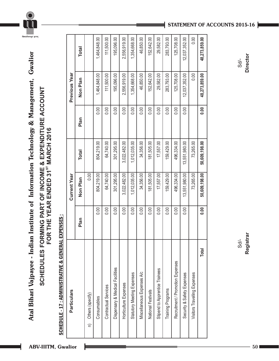

## **SCHEDULES FORMING PART OF INCOME & EXPENDITURE ACCOUNT SCHEDULES FORMING PART OF INCOME & EXPENDITURE ACCOUNT<br>FOR THE YEAR ENDED 31<sup>8T</sup> MARCH 2016 ST FOR THE YEAR ENDED 31 MARCH 2016**

## SCHEDULE - 17 : ADMINISTRATIVE & GENERAL EXPENSES : SCHEDULE - 17 : ADMINISTRATIVE & GENERAL EXPENSES :

| Particulars                      |      | <b>Current Year</b> |               |      | <b>Previous Year</b> |               |
|----------------------------------|------|---------------------|---------------|------|----------------------|---------------|
|                                  | Plan | Non Plan            | <b>Total</b>  | Plan | Non Plan             | Total         |
| n) Others (specify)              |      | 0.00                |               |      |                      |               |
| Consumables                      | 0.00 | 804,219.00          | 804,219.00    | 0.00 | 1,464,848.00         | 1,464,848.00  |
| <b>Contractual Services</b>      | 0.00 | 64,740.00           | 64,740.00     | 0.00 | 111,500.00           | 111,500.00    |
| Dispensary & Medical Facilities  | 0.00 | 301,295.00          | 301,295.00    | 0.00 | 195,096.00           | 195,096.00    |
| Horticulture Expenses            | 0.00 | 3,022,482.00        | 3,022,482.00  | 0.00 | 2,556,919.00         | 2,556,919.00  |
| Statutory Meeting Expenses       | 0.00 | 1,012,035.00        | 1,012,035.00  | 0.00 | 1,354,668.00         | 1,354,668.00  |
| Miscellaneous Expenses A/c       | 0.00 | 34,356.00           | 34,356.00     | 0.00 | 46,850.00            | 46,850.00     |
| National Festivals               | 0.00 | 181,505.00          | 181,505.00    | 0.00 | 152,642.00           | 152,642.00    |
| Stipend to Apprentice Trainees   | 0.00 | 17,557.00           | 17,557.00     | 0.00 | 29,582.00            | 29,582.00     |
| Training Programs                | 0.00 | 159,429.00          | 159,429.00    | 0.00 | 283,793.00           | 283,793.00    |
| Recruitment / Promotion Expenses | 0.00 | 496,334.00          | 496,334.00    | 0.00 | 125,708.00           | 125,708.00    |
| Security & Safety Expenses       | 0.00 | 13,551,980.00       | 13,551,980.00 | 0.00 | 12,037,352.00        | 12,037,352.00 |
| Visitors Travelling Expenses     |      | 73,265.00           | 73,265.00     |      | 0.00                 | 0.00          |
| Total                            | 0.00 | 50,609,198.00       | 50,609,198.00 | 0.00 | 48,273,859.00        | 48,273,859.00 |

### **STATEMENT OF ACCOUNTS 2015-16**

Sd/- **Director**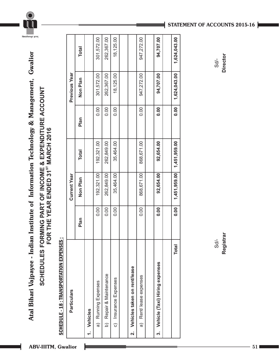

## **SCHEDULES FORMING PART OF INCOME & EXPENDITURE ACCOUNT**  SCHEDULES FORMING PART OF INCOME & EXPENDITURE ACCOUNT<br>FOR THE YEAR ENDED 31<sup>st</sup> MARCH 2016 **ST FOR THE YEAR ENDED 31 MARCH 2016**

### SCHEDULE - 18 : TRANSPORTATION EXPENSES : SCHEDULE - 18 : TRANSPORTATION EXPENSES :

| <b>Particulars</b>                       |      | <b>Current Year</b> |              |      | <b>Previous Year</b> |              |
|------------------------------------------|------|---------------------|--------------|------|----------------------|--------------|
|                                          | Plan | Non Plan            | <b>Total</b> | Plan | Non Plan             | <b>Total</b> |
| Vehicles                                 |      |                     |              |      |                      |              |
| Running Expenses<br>බ                    | 0.00 | 192,321.00          | 192,321.00   | 0.00 | 301,572.00           | 301,572.00   |
| b) Repair & Maintenance                  | 0.00 | 262,849.00          | 262,849.00   | 0.00 | 262,367.00           | 262,367.00   |
| c) Insurance Expenses                    | 0.00 | 35,464.00           | 35,464.00    | 0.00 | 18,125.00            | 18,125.00    |
|                                          |      |                     |              |      |                      |              |
| Vehicles taken on rent/lease<br>ี่ผ      |      |                     |              |      |                      |              |
| Rent/ lease expenses<br>බ                | 0.00 | 868,671.00          | 868,671.00   | 0.00 | 947,272.00           | 947,272.00   |
|                                          |      |                     |              |      |                      |              |
| Vehicle (Taxi) Hiring expenses<br>.<br>က | 0.00 | 92,654.00           | 92,654.00    | 0.00 | 94,707.00            | 94,707.00    |
|                                          |      |                     |              |      |                      |              |
| Total                                    | 0.00 | 1,451,959.00        | 1,451,959.00 | 0.00 | 1,624,043.00         | 1,624,043.00 |

### **STATEMENT OF ACCOUNTS 2015-16**

Sd/- **Director**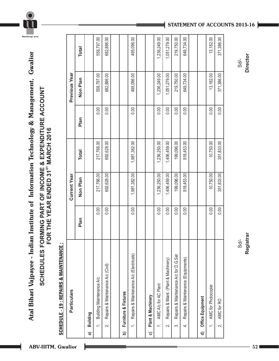

## **SCHEDULES FORMING PART OF INCOME & EXPENDITURE ACCOUNT**  SCHEDULES FORMING PART OF INCOME & EXPENDITURE ACCOUNT<br>FOR THE YEAR ENDED 31<sup>st</sup> MARCH 2016 **ST FOR THE YEAR ENDED 31 MARCH 2016**

### **SCHEDULE - 19 : REPAIRS & MAINTENANCE :** SCHEDULE - 19 : REPAIRS & MAINTENANCE :

|          | <b>Particulars</b>                                               |      | <b>Current Year</b> |              |      | <b>Previous Year</b> |              |
|----------|------------------------------------------------------------------|------|---------------------|--------------|------|----------------------|--------------|
|          |                                                                  | Plan | Non Plan            | <b>Total</b> | Plan | Non Plan             | <b>Total</b> |
| ଟ୍ଟ      | Building                                                         |      |                     |              |      |                      |              |
|          | Building Maintenance A/c<br>$\ddot{ }$                           | 0.00 | 217,766.00          | 217,766.00   | 0.00 | 558,797.00           | 558,797.00   |
|          | Repairs & Maintenance A/c (Civil)<br>$\overline{\mathcal{N}}$    | 0.00 | 692,628.00          | 692,628.00   | 0.00 | 682,886.00           | 682,886.00   |
|          |                                                                  |      |                     |              |      |                      |              |
| <u>ට</u> | Furniture & Fixtures                                             |      |                     |              |      |                      |              |
|          | Repairs & Maintenance A/c (Electricals)<br>$\div$                | 0.00 | 1,981,382.00        | 1,981,382.00 | 0.00 | 495,096.00           | 495,096.00   |
|          |                                                                  |      |                     |              |      |                      |              |
| ಠ        | Plant & Machinery                                                |      |                     |              |      |                      |              |
|          | AMC A/c for AC Plant<br>$\div$                                   | 0.00 | 1,236,250.00        | 1,236,250.00 | 0.00 | 1,236,249.00         | 1,236,249.00 |
|          | Repairs & Maint. (Plant & Machinery)<br>$\overline{\mathcal{N}}$ | 0.00 | 1,456,459.00        | 1,456,459.00 | 0.00 | 1,051,279.00         | 1,051,279.00 |
|          | Repairs & Maintenance A/c for D.G.Set<br>က်                      | 0.00 | 199,096.00          | 199,096.00   | 0.00 | 219,750.00           | 219,750.00   |
|          | Repairs & Maintenance (Equipments)<br>$\vec{+}$                  | 0.00 | 918,453.00          | 918,453.00   | 0.00 | 649,734.00           | 649,734.00   |
|          |                                                                  |      |                     |              |      |                      |              |
| ਰ        | Office Equipment                                                 |      |                     |              |      |                      |              |
|          | <b>AMC</b> for Photocopier<br>$\div$                             | 0.00 | 10,750.00           | 10,750.00    | 0.00 | 13,182.00            | 13,182.00    |
|          | AMC for RO<br>$\overline{\mathcal{N}}$                           | 0.00 | 351,833.00          | 351,833.00   | 0.00 | 371,386.00           | 371,386.00   |
|          |                                                                  |      |                     |              |      |                      |              |

### **STATEMENT OF ACCOUNTS 2015-16**

Sd/- **Director**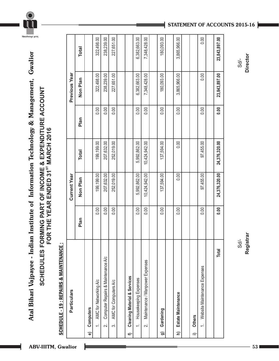## **SCHEDULES FORMING PART OF INCOME & EXPENDITURE ACCOUNT SCHEDULES FORMING PART OF INCOME & EXPENDITURE ACCOUNT<br>FOR THE YEAR ENDED 31<sup>8T</sup> MARCH 2016 ST FOR THE YEAR ENDED 31 MARCH 2016**

### **SCHEDULE - 19 : REPAIRS & MAINTENANCE:** SCHEDULE - 19 : REPAIRS & MAINTENANCE :

|   | <b>Particulars</b>                                          |      | <b>Current Year</b> |                 |      | <b>Previous Year</b> |               |
|---|-------------------------------------------------------------|------|---------------------|-----------------|------|----------------------|---------------|
|   |                                                             | Plan | Non Plan            | <b>Total</b>    | Plan | Non Plan             | <b>Total</b>  |
| ಠ | Computers                                                   |      |                     |                 |      |                      |               |
|   | AMC for Networking A/c<br>$\div$                            | 0.00 | 199,199.00          | 199,199.00      | 0.00 | 322,498.00           | 322,498.00    |
|   | Computer Repairs & Maintenance A/c<br>$\overline{a}$        | 0.00 | 207,632.00          | 207,632.00      | 0.00 | 238,239.00           | 238,239.00    |
|   | AMC for Computers A/c<br>က်                                 | 0.00 | 252,019.00          | 252,019.00      | 0.00 | 227,651.00           | 227,651.00    |
|   |                                                             |      |                     |                 |      |                      |               |
| € | <b>Cleaning Material &amp; Services</b>                     |      |                     |                 |      |                      |               |
|   | Housekeeping Expenses<br>$\div$                             | 0.00 | 5,992,862.00        | 5,992,862.00    | 0.00 | 6,382,663.00         | 6,382,663.00  |
|   | Maintenance / Manpower Expenses<br>$\overline{\mathcal{N}}$ | 0.00 | 10,424,942.00       | 10, 424, 942.00 | 0.00 | 7,348,428.00         | 7,348,428.00  |
|   |                                                             |      |                     |                 |      |                      |               |
| ඉ | Gardening                                                   | 0.00 | 137,594.00          | 137,594.00      | 0.00 | 180,093.00           | 180,093.00    |
|   |                                                             |      |                     |                 |      |                      |               |
| Ξ | Estate Maintenance                                          | 0.00 | 0.00                | 0.00            | 0.00 | 3,865,966.00         | 3,865,966.00  |
|   |                                                             |      |                     |                 |      |                      |               |
| ≔ | <b>Others</b>                                               |      |                     |                 |      |                      |               |
|   | Website Maintenance Expenses<br>$\div$                      | 0.00 | 97,455.00           | 97,455.00       | 0.00 | 0.00                 | 0.00          |
|   |                                                             |      |                     |                 |      |                      |               |
|   | Total                                                       | 0.00 | 24,376,320.00       | 24,376,320.00   | 0.00 | 23,843,897.00        | 23,843,897.00 |

**STATEMENT OF ACCOUNTS 2015-16**

Sd/- **Registrar**

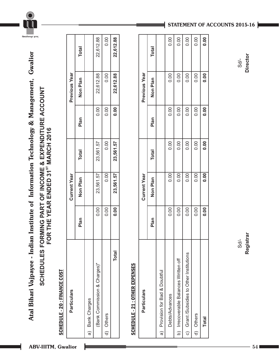



## **SCHEDULES FORMING PART OF INCOME & EXPENDITURE ACCOUNT**  SCHEDULES FORMING PART OF INCOME & EXPENDITURE ACCOUNT<br>FOR THE YEAR ENDED 31<sup>st</sup> MARCH 2016 **ST FOR THE YEAR ENDED 31 MARCH 2016**

### **SCHEDULE - 20 : FINANCE COST** SCHEDULE - 20 : FINANCE COST

| Particulars                  |                   | <b>Current Year</b> |              |       | <b>Previous Year</b> |              |
|------------------------------|-------------------|---------------------|--------------|-------|----------------------|--------------|
|                              | Plan              | Non Plan            | <b>Total</b> | Plan  | Non Plan             | <b>Total</b> |
| a) Bank Charges              |                   |                     |              |       |                      |              |
| (Bank Commission & Charges)" | 0.00              | 23,561.57           | 23,561.57    | 0.001 | 22,612.88            | 22,612.88    |
| d) Others                    | 0.00              | 0.001               | 0.00         | 0.00  | 0.00                 | 0.00         |
| <b>Total</b>                 | $\overline{0.00}$ | 23,561.57           | 23,561.57    | 0.00  | 22,612.88            | 22,612.88    |

### SCHEDULE - 21 : OTHER EXPENSES SCHEDULE - 21 : OTHER EXPENSES

| <b>Particulars</b>                        |      | <b>Current Year</b> |              |      | <b>Previous Year</b> |              |
|-------------------------------------------|------|---------------------|--------------|------|----------------------|--------------|
|                                           | Plan | Non Plan            | <b>Total</b> | Plan | Non Plan             | <b>Total</b> |
| a) Provision for Bad & Doubtful           |      |                     |              |      |                      |              |
| Debts/Advances                            | 0.00 | 0.00                | 0.00         | 0.00 | 0.00                 | 0.00         |
| b) Irrecoverable Balances Written off     | 0.00 | 0.00                | 0.00         | 0.00 | 0.00                 | 0.00         |
| c) Grant /Subsidies to Other Institutions | 0.00 | 0.00                | 0.00         | 0.00 | 0.00                 | 0.00         |
| d) Others                                 | 0.00 | 0.00                | 0.00         | 0.00 | 0.00                 | 0.00         |
| <b>Total</b>                              | 0.00 | 0.00                | 0.00         | 0.00 | 0.00                 | 0.00         |
|                                           |      |                     |              |      |                      |              |

### **STATEMENT OF ACCOUNTS 2015-16**

**Director**  $Sd$ -

Sd/- **Registrar** Sd/- **Director** Registrar  $Sd/-$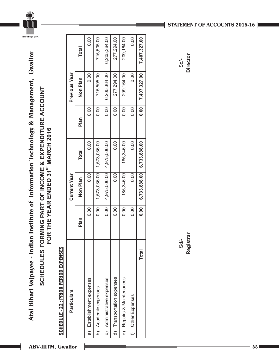

## **SCHEDULES FORMING PART OF INCOME & EXPENDITURE ACCOUNT**  SCHEDULES FORMING PART OF INCOME & EXPENDITURE ACCOUNT<br>FOR THE YEAR ENDED 31<sup>st</sup> MARCH 2016 **ST FOR THE YEAR ENDED 31 MARCH 2016**

### SCHEDULE - 22 : PRIOR PERIOD EXPENSES SCHEDULE - 22 : PRIOR PERIOD EXPENSES

| <b>Particulars</b>         |       | <b>Current Year</b> |              |      | <b>Previous Year</b> |              |
|----------------------------|-------|---------------------|--------------|------|----------------------|--------------|
|                            | Plan  | Non Plan            | <b>Total</b> | Plan | Non Plan             | <b>Total</b> |
| a) Establishment expenses  | 0.00  | 0.00                | 0.00         | 0.00 | 0.00                 | 0.00         |
| b) Academic expenses       | 0.001 | 1,573,036.00        | 1,573,036.00 | 0.00 | 715,505.00           | 715,505.00   |
| c) Administrative expenses | 0.00  | 4,975,506.00        | 4,975,506.00 | 0.00 | 6,205,364.00         | 6,205,364.00 |
| d) Transportation expenses | 0.00  | 0.00                | 0.00         | 0.00 | 277,294.00           | 277,294.00   |
| e) Repairs & Maintenances  | 0.00  | 185,346.00          | 185,346.00   | 0.00 | 209,164.00           | 209,164.00   |
| f) Other Expenses          | 0.00  | 0.00                | 0.00         | 0.00 | 0.00                 | 0.00         |
| Total                      | 0.001 | 6,733,888.00        | 6,733,888.00 | 0.00 | 7,407,327.00         | 7,407,327.00 |
|                            |       |                     |              |      |                      |              |

Sd/- **Registrar**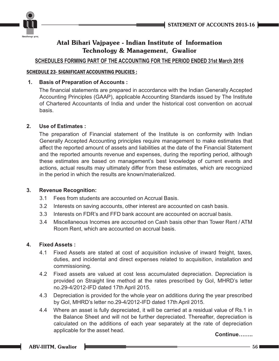

### **SCHEDULES FORMING PART OF THE ACCOUNTING FOR THE PERIOD ENDED 31st March 2016**

### SCHEDULE 23- SIGNIFICANT ACCOUNTING POLICIES :

### **1. Basis of Preparation of Accounts :**

The financial statements are prepared in accordance with the Indian Generally Accepted Accounting Principles (GAAP), applicable Accounting Standards issued by The Institute of Chartered Accountants of India and under the historical cost convention on accrual basis.

### **2. Use of Estimates :**

The preparation of Financial statement of the Institute is on conformity with Indian Generally Accepted Accounting principles require management to make estimates that affect the reported amount of assets and liabilities at the date of the Financial Statement and the reported amounts revenue and expenses, during the reporting period, although these estimates are based on management's best knowledge of current events and actions, actual results may ultimately differ from these estimates, which are recognized in the period in which the results are known/materialized.

### **3. Revenue Recognition:**

- 3.1 Fees from students are accounted on Accrual Basis.
- 3.2 Interests on saving accounts, other interest are accounted on cash basis.
- 3.3 Interests on FDR's and FFD bank account are accounted on accrual basis.
- 3.4 Miscellaneous Incomes are accounted on Cash basis other than Tower Rent / ATM Room Rent, which are accounted on accrual basis.

### **4. Fixed Assets :**

- 4.1 Fixed Assets are stated at cost of acquisition inclusive of inward freight, taxes, duties, and incidental and direct expenses related to acquisition, installation and commissioning.
- 4.2 Fixed assets are valued at cost less accumulated depreciation. Depreciation is provided on Straight line method at the rates prescribed by GoI, MHRD's letter no.29-4/2012-IFD dated 17th April 2015.
- 4.3 Depreciation is provided for the whole year on additions during the year prescribed by GoI, MHRD's letter no.29-4/2012-IFD dated 17th April 2015.
- 4.4 Where an asset is fully depreciated, it will be carried at a residual value of Rs.1 in the Balance Sheet and will not be further depreciated. Thereafter, depreciation is calculated on the additions of each year separately at the rate of depreciation applicable for the asset head.

**Continue……..**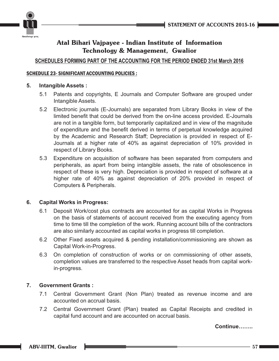

### **SCHEDULES FORMING PART OF THE ACCOUNTING FOR THE PERIOD ENDED 31st March 2016**

### SCHEDULE 23- SIGNIFICANT ACCOUNTING POLICIES :

### **5. Intangible Assets :**

- 5.1 Patents and copyrights, E Journals and Computer Software are grouped under Intangible Assets.
- 5.2 Electronic journals (E-Journals) are separated from Library Books in view of the limited benefit that could be derived from the on-line access provided. E-Journals are not in a tangible form, but temporarily capitalized and in view of the magnitude of expenditure and the benefit derived in terms of perpetual knowledge acquired by the Academic and Research Staff; Depreciation is provided in respect of E-Journals at a higher rate of 40% as against depreciation of 10% provided in respect of Library Books.
- 5.3 Expenditure on acquisition of software has been separated from computers and peripherals, as apart from being intangible assets, the rate of obsolescence in respect of these is very high. Depreciation is provided in respect of software at a higher rate of 40% as against depreciation of 20% provided in respect of Computers & Peripherals.

### **6. Capital Works in Progress:**

- 6.1 Deposit Work/cost plus contracts are accounted for as capital Works in Progress on the basis of statements of account received from the executing agency from time to time till the completion of the work. Running account bills of the contractors are also similarly accounted as capital works in progress till completion.
- 6.2 Other Fixed assets acquired & pending installation/commissioning are shown as Capital Work-in-Progress.
- 6.3 On completion of construction of works or on commissioning of other assets, completion values are transferred to the respective Asset heads from capital workin-progress.

### **7. Government Grants :**

- 7.1 Central Government Grant (Non Plan) treated as revenue income and are accounted on accrual basis.
- 7.2 Central Government Grant (Plan) treated as Capital Receipts and credited in capital fund account and are accounted on accrual basis.

**Continue……..**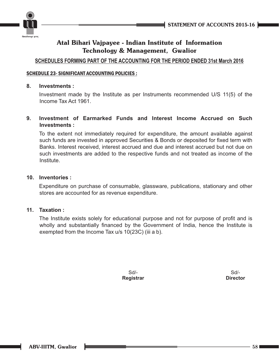



### **SCHEDULES FORMING PART OF THE ACCOUNTING FOR THE PERIOD ENDED 31st March 2016**

### SCHEDULE 23- SIGNIFICANT ACCOUNTING POLICIES :

### **8. Investments :**

Investment made by the Institute as per Instruments recommended U/S 11(5) of the Income Tax Act 1961.

### **9. Investment of Earmarked Funds and Interest Income Accrued on Such Investments :**

To the extent not immediately required for expenditure, the amount available against such funds are invested in approved Securities & Bonds or deposited for fixed term with Banks. Interest received, interest accrued and due and interest accrued but not due on such investments are added to the respective funds and not treated as income of the Institute.

### **10. Inventories :**

Expenditure on purchase of consumable, glassware, publications, stationary and other stores are accounted for as revenue expenditure.

### **11. Taxation :**

The Institute exists solely for educational purpose and not for purpose of profit and is wholly and substantially financed by the Government of India, hence the Institute is exempted from the Income Tax u/s 10(23C) (iii a b).

> Sd/- **Registrar**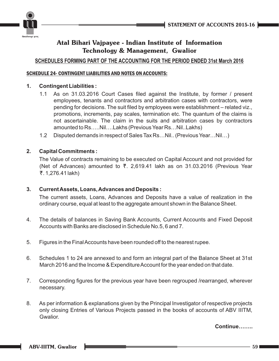



### **SCHEDULES FORMING PART OF THE ACCOUNTING FOR THE PERIOD ENDED 31st March 2016**

### SCHEDULE 24- CONTINGENT LIABILITIES AND NOTES ON ACCOUNTS:

### **1. Contingent Liabilities :**

- 1.1 As on 31.03.2016 Court Cases filed against the Institute, by former / present employees, tenants and contractors and arbitration cases with contractors, were pending for decisions. The suit filed by employees were establishment – related viz., promotions, increments, pay scales, termination etc. The quantum of the claims is not ascertainable. The claim in the suits and arbitration cases by contractors amounted to Rs…..Nil….Lakhs (Previous Year Rs…Nil..Lakhs)
- 1.2 Disputed demands in respect of Sales Tax Rs…Nil.. (Previous Year…Nil…)

### **2. Capital Commitments :**

The Value of contracts remaining to be executed on Capital Account and not provided for (Net of Advances) amounted to  $\bar{\tau}$ . 2,619.41 lakh as on 31.03.2016 (Previous Year . 1,276.41 lakh) T

### **3. Current Assets, Loans, Advances and Deposits :**

The current assets, Loans, Advances and Deposits have a value of realization in the ordinary course, equal at least to the aggregate amount shown in the Balance Sheet.

- 4. The details of balances in Saving Bank Accounts, Current Accounts and Fixed Deposit Accounts with Banks are disclosed in Schedule No.5, 6 and 7.
- 5. Figures in the Final Accounts have been rounded off to the nearest rupee.
- 6. Schedules 1 to 24 are annexed to and form an integral part of the Balance Sheet at 31st March 2016 and the Income & Expenditure Account for the year ended on that date.
- 7. Corresponding figures for the previous year have been regrouped /rearranged, wherever necessary.
- 8. As per information & explanations given by the Principal Investigator of respective projects only closing Entries of Various Projects passed in the books of accounts of ABV IIITM, Gwalior.

**Continue……..**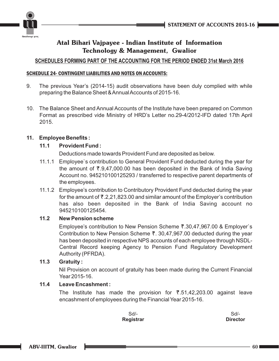



### **SCHEDULES FORMING PART OF THE ACCOUNTING FOR THE PERIOD ENDED 31st March 2016**

### SCHEDULE 24- CONTINGENT LIABILITIES AND NOTES ON ACCOUNTS:

- 9. The previous Year's (2014-15) audit observations have been duly complied with while preparing the Balance Sheet & Annual Accounts of 2015-16.
- 10. The Balance Sheet and Annual Accounts of the Institute have been prepared on Common Format as prescribed vide Ministry of HRD's Letter no.29-4/2012-IFD dated 17th April 2015.

### **11. Employee Benefits :**

### **11.1 Provident Fund :**

Deductions made towards Provident Fund are deposited as below.

- 11.1.1 Employee`s contribution to General Provident Fund deducted during the year for the amount of  $\bar{\tau}$ .9,47,000.00 has been deposited in the Bank of India Saving Account no. 945210100125293 / transferred to respective parent departments of the employees.
- 11.1.2 Employee's contribution to Contributory Provident Fund deducted during the year for the amount of  $\bar{\bar{\tau}}$ .2,21,823.00 and similar amount of the Employer's contribution has also been deposited in the Bank of India Saving account no 945210100125454.

### **11.2 New Pension scheme**

Employee's contribution to New Pension Scheme ₹.30,47,967.00 & Employer`s Contribution to New Pension Scheme  $\overline{z}$ . 30,47,967.00 deducted during the year has been deposited in respective NPS accounts of each employee through NSDL-Central Record keeping Agency to Pension Fund Regulatory Development Authority (PFRDA).

### **11.3 Gratuity :**

Nil Provision on account of gratuity has been made during the Current Financial Year 2015-16.

### **11.4 Leave Encashment :**

The Institute has made the provision for  $\overline{5}.51,42,203.00$  against leave encashment of employees during the Financial Year 2015-16.

> Sd/- **Registrar**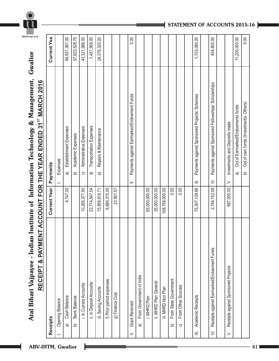

Atal Bihari Vajpayee - Indian Institute of Information Technology & Management, Gwalior

### $0.00$  $0.00$ Current Yea 64,921,367.00 57,823,528.75 43,321,986.00 1,451,959.00 24,376,320.00 11,200,000.00 **Receipts Current Year Payments Current Yea** b) Bank Balance b) Bank Balance b) Academic Expenses 57,823,528.75 1,703,080.00 104,800.00 a) Cash Balance Cash Balance 4,147.00 4,147.00 a) Establishment Expenses 64,921,367.00 i. In Current Accounts 10,265,377.80 c) Administrative Expenses 43,321,986.00 ii. In Deposit Accounts 22,774,547.54 d) Transportation Expenses 1,451,959.00 iii. Saving Accounts 15,858,618.71 e) Repairs & Maintenance 24,376,320.00 II. Grant Received II. Payments against Earmarked/Endowment Funds 10.000 o.000 Payment Funds 10.000 Payment Funds 10.000 Payment Funds 10.000 Payment Funds 10.000 Payment Funds 10.000 Payment Funds 10.000 Payment Funds 10. III. Academic Receipts 75,307,139.66 | III. Payments against Sponsored Projects/ Schemes 1,703,080.00 IV. Receipts against Earmarked/Endowment Funds 2,744,152.09 IV. Payments against Sponsored Fellowships/ Scholarships 404,800.00 a) Out of Earmarked/Endowments funds 11,200,000.00 b) Out of own funds (Investments- Others) 0.00& PAYMENT ACCOUNT FOR THE YEAR ENDED 31<sup>8T</sup> MARCH 2016 **ST RECEIPT & PAYMENT ACCOUNT FOR THE YEAR ENDED 31 MARCH 2016** Payments against Sponsored Fellowships/ Scholarships Payments against Earmarked/Endowment Funds Payments against Sponsored Projects/ Schemes Out of own funds (Investments-Others) Out of Earmarked/Endowments funds Investments and Deposits made V. Receipts against Sponsored Projects 697,000.00 V. Investments and Deposits made Transportation Expenses Establishment Expenses Administrative Expenses Repairs & Maintenance Academic Expenses Expenses I. **Expening Balance** I. **I.** I. Expenses Current Year | Payments  $\widehat{\mathbf{a}}$  $\hat{a}$  $\widehat{\circ}$  $\widehat{\sigma}$  $\hat{a}$  $\widehat{\Theta}$  $\widehat{\mathfrak{a}}$  $\geq$  $\equiv$  $\mathbf{r}$  $\equiv$ 6,684,315.00 65,000,000.00 35,000,000.00  $0.00$  $0.00$ 75,307,139.66 2,744,152.09 697,000.00 4,147.00 10,265,377.80 22,774,547.54 15,858,618.71 23,561.57 168,758,000.00 f) Prior period expenses 6,684,315.00 g) Finance Cost  $\overline{23,561.57}$ i. MHRD Plan 65,000,000.00 ii. MHRD Plan General 35,000,000.00 iii. MHRD Non Plan 168,758,000.00 b) From State Government charge of  $\alpha$ c) completed the Sources of Left Other Services on  $\overline{c}$ Receipts against Earmarked/Endowment Funds **RECEIPT** Receipts against Sponsored Projects From Government of India a) From Government of India From State Government f) Prior period expenses ii. MHRD Plan General ii. In Deposit Accounts i. In Current Accounts From Other Sources Saving Accounts iii. MHRD Non Plan g) Finance Cost Academic Receipts Cash Balance **Bank Balance** i. MHRD Plan **Opening Balance Grant Received** Receipts  $\widehat{\mathfrak{w}}$  $\widehat{\sigma}$  $\widehat{\mathbf{d}}$  $\widehat{\mathbf{p}}$  $\widehat{\circ}$  $\equiv$  $\geq$  $\equiv$  $\leq$

**STATEMENT OF ACCOUNTS 2015-16**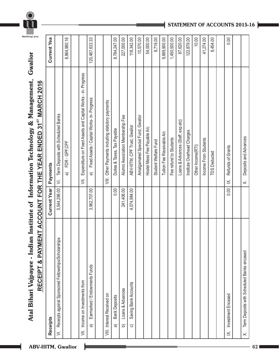

## Atal Bihari Vajpayee - Indian Institute of Information Technology & Management, Gwalior **Atal Bihari Vajpayee - Indian Institute of Information Technology & Management, Gwalior** RECEIPT & PAYMENT ACCOUNT FOR THE YEAR ENDED 31<sup>ST</sup> MARCH 2016 **ST RECEIPT & PAYMENT ACCOUNT FOR THE YEAR ENDED 31 MARCH 2016**

|                   | Receipts                                            | <b>Current Year</b> | Payments                                                                 | Current Yea    |
|-------------------|-----------------------------------------------------|---------------------|--------------------------------------------------------------------------|----------------|
| $\overline{5}$    | Receipts against Sponsored Fellowships/Scholarships | 5,544,298.00        | Term Deposits with Scheduled Banks<br>$\leq$                             |                |
|                   |                                                     |                     | FDR-GPF,CPF<br><u>ৰ</u>                                                  | 8,864,980.16   |
|                   |                                                     |                     |                                                                          |                |
|                   | VII. Income on Investments from                     |                     | Expenditure on Fixed Assets and Capital Works - in- Progress<br>$\equiv$ |                |
|                   | Earmarked / Endowments Funds<br>a                   | 3,962,707.00        | Fixed Assets / Capital Works- in- Progress<br>$\widehat{\mathfrak{a}}$   | 120,467,633.33 |
|                   |                                                     |                     |                                                                          |                |
|                   | VIII. Interest Received on                          |                     | Other Payments including statutory payments<br>$\equiv$                  |                |
|                   | <b>Bank Deposits</b><br>କ                           | 0.00                | Duties & Taxes, Tax Payable                                              | 8,784,247.00   |
|                   | Loans & Advances<br>$\widehat{\mathbf{p}}$          | 241,406.00          | Alumni Association Membership Fee                                        | 227,000.00     |
|                   | Saving Bank Accounts<br>$\widehat{\circ}$           | 4,074,984.00        | ABV-IIITM, CPF Trust, Gwalior                                            | 118,342.00     |
|                   |                                                     |                     | Amalgamated Special Fund, Gwalior                                        | 10,570.00      |
|                   |                                                     |                     | Hostel Mess Fee Payable A/c                                              | 54,000.00      |
|                   |                                                     |                     | Student Welfare Fund                                                     | 8,719.00       |
|                   |                                                     |                     | Tuition Fee Receivable A/c                                               | 9,889,900.00   |
|                   |                                                     |                     | Fee refund to Students                                                   | 1,450,500.00   |
|                   |                                                     |                     | Loans & Advances (Staff, exp.etc)                                        | 87,620.00      |
|                   |                                                     |                     | Institute Overhead Charges                                               | 122,879.00     |
|                   |                                                     |                     | Other Income(RTI)                                                        | 10.00          |
|                   |                                                     |                     | Income From Students                                                     | 41,274.00      |
|                   |                                                     |                     | <b>TDS Deducted</b>                                                      | 8,454.00       |
|                   |                                                     |                     |                                                                          |                |
| $\overline{\leq}$ | Investment Encased                                  | 0.00                | Refunds of Grants<br>$\leq$                                              | 0.00           |
|                   |                                                     |                     |                                                                          |                |
| $\times$          | Term Deposits with Scheduled Banks encased          |                     | Deposits and Advances<br>$\times$                                        |                |

### **STATEMENT OF ACCOUNTS 2015-16**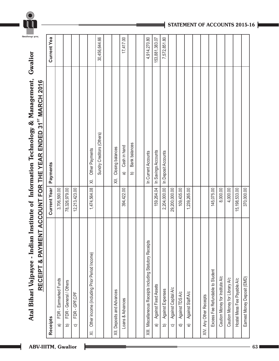

## Atal Bihari Vajpayee - Indian Institute of Information Technology & Management, Gwalior **Atal Bihari Vajpayee - Indian Institute of Information Technology & Management, Gwalior** RECEIPT & PAYMENT ACCOUNT FOR THE YEAR ENDED 31<sup>ST</sup> MARCH 2016 **ST RECEIPT & PAYMENT ACCOUNT FOR THE YEAR ENDED 31 MARCH 2016**

| <b>Receipts</b>                                                     | <b>Current Year</b> | Payments                              | Current Yea    |
|---------------------------------------------------------------------|---------------------|---------------------------------------|----------------|
| FDR - Earmarked Funds<br><u>ৰ</u>                                   | 3,706,590.00        |                                       |                |
| FDR - General / Others<br>6                                         | 78,326,979.00       |                                       |                |
| FDR-GPF,CPF<br>$\widehat{\circ}$                                    | 12,213,423.00       |                                       |                |
|                                                                     |                     |                                       |                |
| Other income (including Prior Period Income)<br>$\overline{\times}$ | 1,474,564.08        | Other Payments<br>$\overline{\times}$ |                |
|                                                                     |                     | Sundry Creditors (Others)             | 30,456,644.66  |
|                                                                     |                     |                                       |                |
| XII. Deposits and Advances                                          |                     | Closing balances<br>$\equiv$          |                |
| Loans & Advances                                                    | 394,422.00          | Cash in hand<br>a                     | 17,417.00      |
|                                                                     |                     | Bank balances<br>b                    |                |
|                                                                     |                     |                                       |                |
| XIII. Miscellaneous Receipts including Statutory Receipts           |                     | In Current Accounts                   | 4,914,270.80   |
| Against Fixed Assets<br>କ                                           | 159,264.04          | In Savings Accounts                   | 153,881,383.07 |
| Against Expenses<br><u>ර</u>                                        | 2,204,000.00        | In Deposit Accounts                   | 7,572,851.80   |
| Against Capital A/c<br>$\widehat{\circ}$                            | 29,200,000.00       |                                       |                |
| Against TDS A/c<br>$\widehat{\sigma}$                               | 109,435.00          |                                       |                |
| Against Staff A/c<br>$\widehat{\Theta}$                             | 1,239,265.00        |                                       |                |
|                                                                     |                     |                                       |                |
| XIV. Any Other Receipts                                             |                     |                                       |                |
| Excess Fee Refundable to Student                                    | 145,075.00          |                                       |                |
| Caution Money for Institute A/c                                     | 8,000.00            |                                       |                |
| Caution Money for Library A/c                                       | 4,000.00            |                                       |                |
| Hostel Mess Fee Payable A/c                                         | 15, 198, 533.00     |                                       |                |
| Earnest Money Deposit (EMD)                                         | 370,000.00          |                                       |                |

### **STATEMENT OF ACCOUNTS 2015-16**